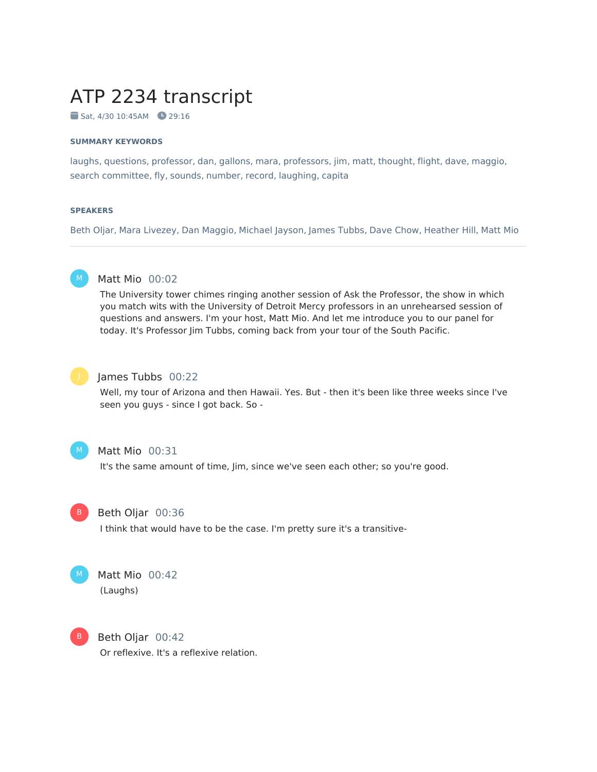# ATP 2234 transcript

Sat, 4/30 10:45AM 29:16

#### **SUMMARY KEYWORDS**

laughs, questions, professor, dan, gallons, mara, professors, jim, matt, thought, flight, dave, maggio, search committee, fly, sounds, number, record, laughing, capita

#### **SPEAKERS**

Beth Oljar, Mara Livezey, Dan Maggio, Michael Jayson, James Tubbs, Dave Chow, Heather Hill, Matt Mio



## Matt Mio 00:02

The University tower chimes ringing another session of Ask the Professor, the show in which you match wits with the University of Detroit Mercy professors in an unrehearsed session of questions and answers. I'm your host, Matt Mio. And let me introduce you to our panel for today. It's Professor Jim Tubbs, coming back from your tour of the South Pacific.



#### James Tubbs 00:22

Well, my tour of Arizona and then Hawaii. Yes. But - then it's been like three weeks since I've seen you guys - since I got back. So -



#### Matt Mio 00:31

It's the same amount of time, Jim, since we've seen each other; so you're good.



#### Beth Oljar 00:36

I think that would have to be the case. I'm pretty sure it's a transitive-



## Matt Mio 00:42

(Laughs)



Beth Oljar 00:42 Or reflexive. It's a reflexive relation.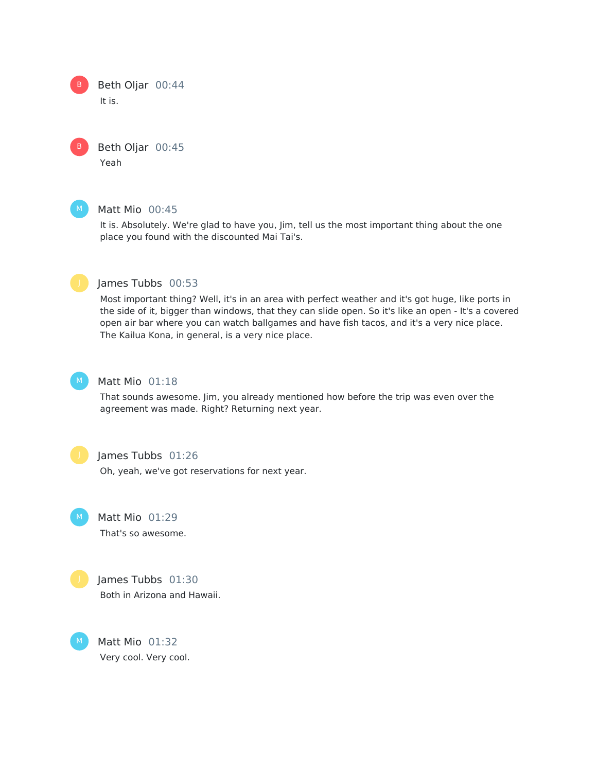Beth Oljar 00:44 It is. B

> Beth Oljar 00:45 Yeah



B

#### Matt Mio 00:45

It is. Absolutely. We're glad to have you, Jim, tell us the most important thing about the one place you found with the discounted Mai Tai's.



## James Tubbs 00:53

Most important thing? Well, it's in an area with perfect weather and it's got huge, like ports in the side of it, bigger than windows, that they can slide open. So it's like an open - It's a covered open air bar where you can watch ballgames and have fish tacos, and it's a very nice place. The Kailua Kona, in general, is a very nice place.



## Matt Mio 01:18

That sounds awesome. Jim, you already mentioned how before the trip was even over the agreement was made. Right? Returning next year.



#### James Tubbs 01:26

Oh, yeah, we've got reservations for next year.

Matt Mio 01:29  $M_{\odot}$ 

That's so awesome.



M

James Tubbs 01:30 Both in Arizona and Hawaii.

Matt Mio 01:32 Very cool. Very cool.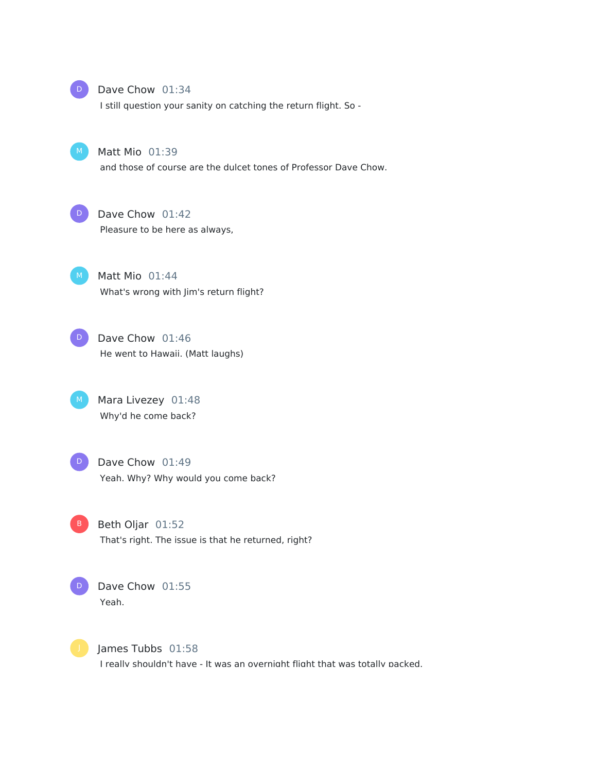

#### Dave Chow 01:34

I still question your sanity on catching the return flight. So -



#### Matt Mio 01:39

and those of course are the dulcet tones of Professor Dave Chow.



## Dave Chow 01:42

Pleasure to be here as always,

Matt Mio 01:44 What's wrong with Jim's return flight?  $M$ 



## M Mara Livezey 01:48 Why'd he come back?

- Dave Chow 01:49 Yeah. Why? Why would you come back?  $\Box$
- B Beth Oljar 01:52 That's right. The issue is that he returned, right?



Dave Chow 01:55 Yeah.



James Tubbs 01:58 I really shouldn't have - It was an overnight flight that was totally packed.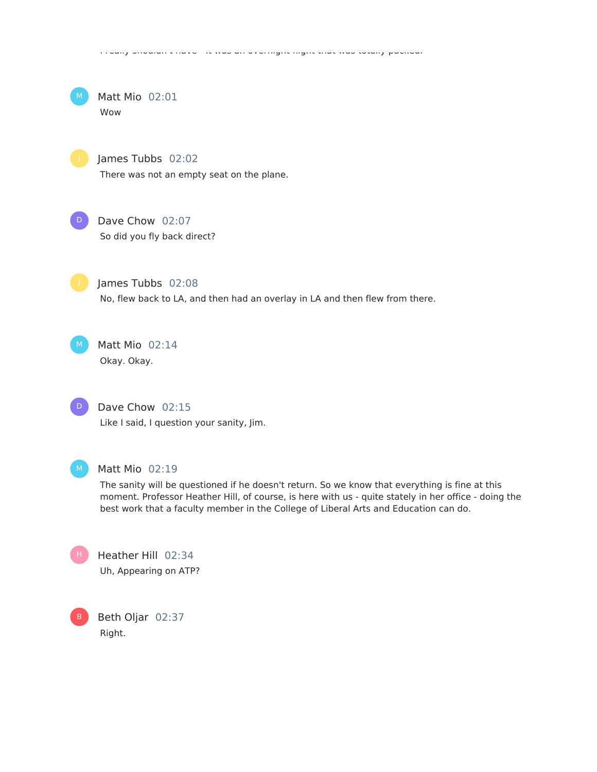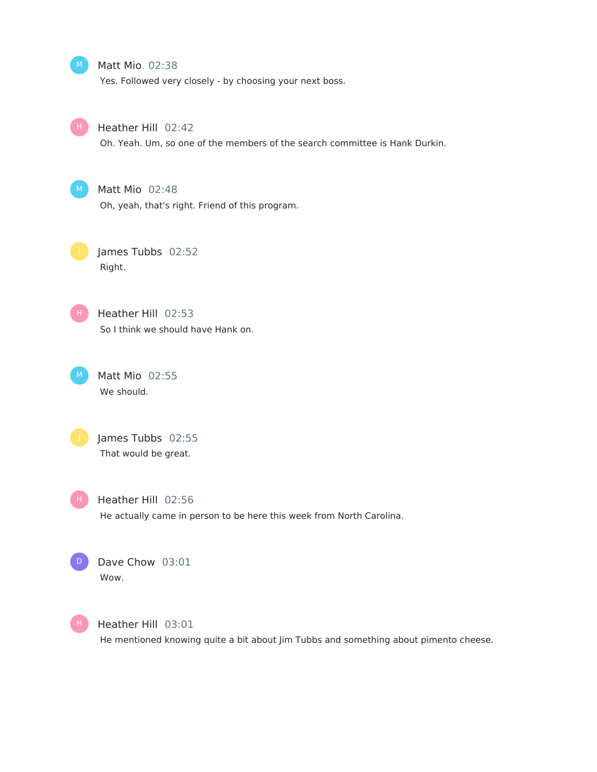Matt Mio 02:38

Yes. Followed very closely - by choosing your next boss.



Heather Hill 02:42

Oh. Yeah. Um, so one of the members of the search committee is Hank Durkin.



## Matt Mio 02:48

Oh, yeah, that's right. Friend of this program.

James Tubbs 02:52 Right.



Heather Hill 02:53 So I think we should have Hank on.

Matt Mio 02:55 We should.



James Tubbs 02:55 That would be great.

H .

Heather Hill 02:56 He actually came in person to be here this week from North Carolina.





Heather Hill 03:01

He mentioned knowing quite a bit about Jim Tubbs and something about pimento cheese.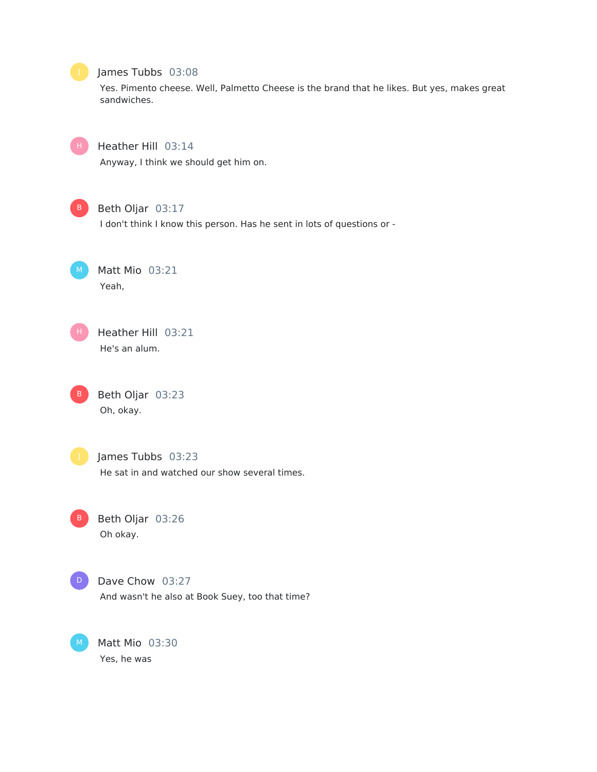## James Tubbs 03:08

Yes. Pimento cheese. Well, Palmetto Cheese is the brand that he likes. But yes, makes great sandwiches.



## Heather Hill 03:14

Anyway, I think we should get him on.



## Beth Oljar 03:17

I don't think I know this person. Has he sent in lots of questions or -

Matt Mio 03:21 Yeah,

Heather Hill 03:21 He's an alum. H .

Beth Oljar 03:23 Oh, okay. B

B

# James Tubbs 03:23

He sat in and watched our show several times.

Beth Oljar 03:26 Oh okay.



## Dave Chow 03:27

And wasn't he also at Book Suey, too that time?

Matt Mio 03:30 Yes, he was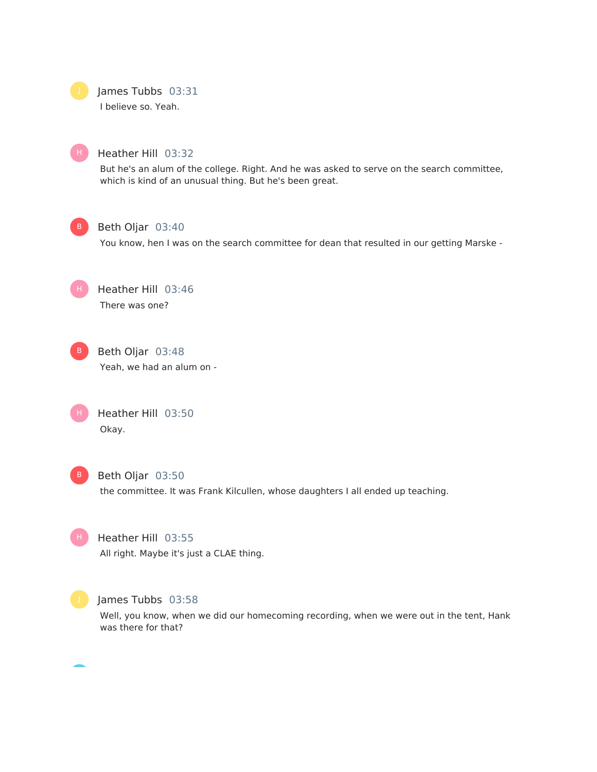James Tubbs 03:31

I believe so. Yeah.



## Heather Hill 03:32

But he's an alum of the college. Right. And he was asked to serve on the search committee, which is kind of an unusual thing. But he's been great.



## Beth Oljar 03:40

You know, hen I was on the search committee for dean that resulted in our getting Marske -

Heather Hill 03:46 There was one? H



Beth Oljar 03:48 Yeah, we had an alum on -

| н. | Heather Hill 03:50 |  |
|----|--------------------|--|
|    | Okay.              |  |



#### Beth Oljar 03:50

the committee. It was Frank Kilcullen, whose daughters I all ended up teaching.



Heather Hill 03:55 All right. Maybe it's just a CLAE thing.



#### James Tubbs 03:58

Well, you know, when we did our homecoming recording, when we were out in the tent, Hank was there for that?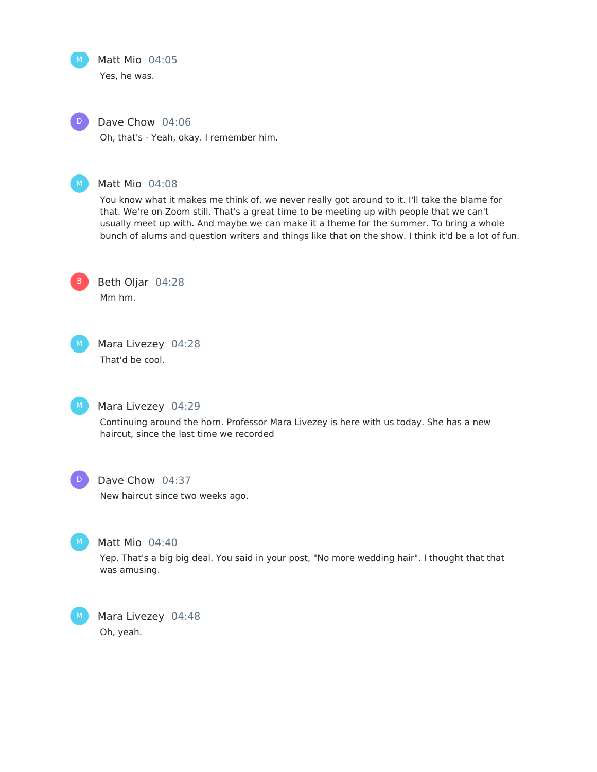

# Matt Mio 04:05

Yes, he was.



## Dave Chow 04:06

Oh, that's - Yeah, okay. I remember him.



## Matt Mio 04:08

You know what it makes me think of, we never really got around to it. I'll take the blame for that. We're on Zoom still. That's a great time to be meeting up with people that we can't usually meet up with. And maybe we can make it a theme for the summer. To bring a whole bunch of alums and question writers and things like that on the show. I think it'd be a lot of fun.



Beth Oljar 04:28 Mm hm.



Mara Livezey 04:28

That'd be cool.



#### Mara Livezey 04:29

Continuing around the horn. Professor Mara Livezey is here with us today. She has a new haircut, since the last time we recorded



## Dave Chow 04:37

New haircut since two weeks ago.



## Matt Mio 04:40

Yep. That's a big big deal. You said in your post, "No more wedding hair". I thought that that was amusing.



Mara Livezey 04:48 Oh, yeah.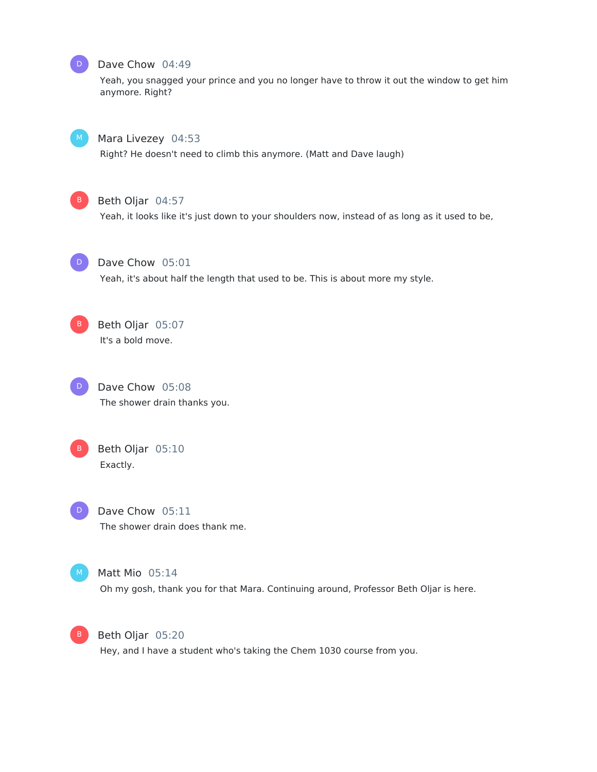

#### Dave Chow 04:49

Yeah, you snagged your prince and you no longer have to throw it out the window to get him anymore. Right?



#### Mara Livezey 04:53

Right? He doesn't need to climb this anymore. (Matt and Dave laugh)



## Beth Oljar 04:57

Yeah, it looks like it's just down to your shoulders now, instead of as long as it used to be,



#### Dave Chow 05:01

Yeah, it's about half the length that used to be. This is about more my style.





Dave Chow 05:08 The shower drain thanks you.



## Beth Oljar 05:10 Exactly.



Dave Chow 05:11 The shower drain does thank me.



#### Matt Mio 05:14

Oh my gosh, thank you for that Mara. Continuing around, Professor Beth Oljar is here.



Beth Oljar 05:20

Hey, and I have a student who's taking the Chem 1030 course from you.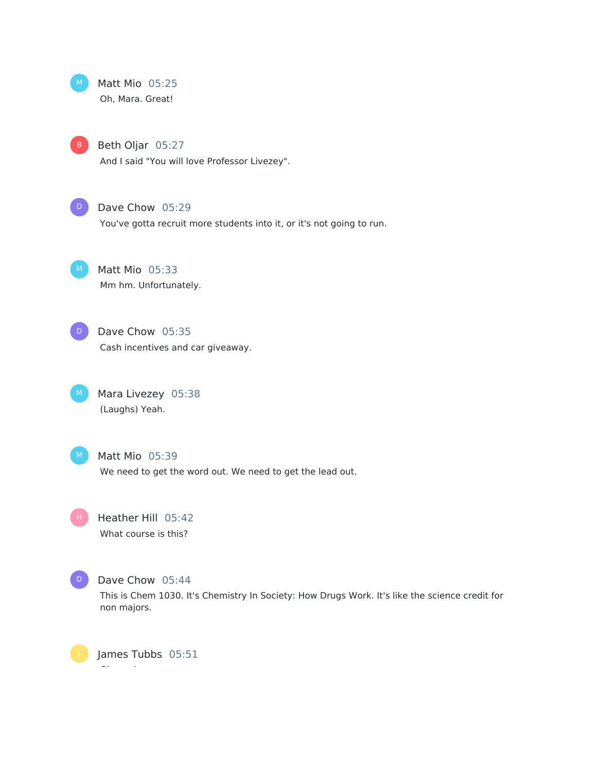Matt Mio 05:25 Oh, Mara. Great!  $M_{\odot}$ 

Beth Oljar 05:27

And I said "You will love Professor Livezey".

D

## Dave Chow 05:29

You've gotta recruit more students into it, or it's not going to run.

Matt Mio 05:33

Mm hm. Unfortunately.

Dave Chow 05:35 Cash incentives and car giveaway. D

Mara Livezey 05:38 (Laughs) Yeah.

Matt Mio 05:39 We need to get the word out. We need to get the lead out.

Heather Hill 05:42 What course is this? H .



## Dave Chow 05:44

This is Chem 1030. It's Chemistry In Society: How Drugs Work. It's like the science credit for non majors.

James Tubbs 05:51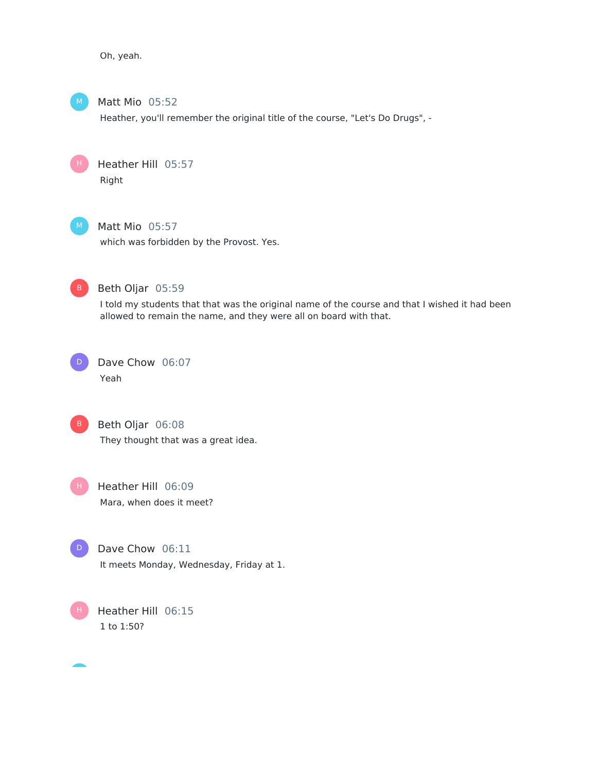Oh, yeah.



Matt Mio 05:52

Heather, you'll remember the original title of the course, "Let's Do Drugs", -

Heather Hill 05:57 Right



H

Matt Mio 05:57

which was forbidden by the Provost. Yes.



Beth Oljar 05:59

I told my students that that was the original name of the course and that I wished it had been allowed to remain the name, and they were all on board with that.





Beth Oljar 06:08 They thought that was a great idea.



Heather Hill 06:09 Mara, when does it meet?



Dave Chow 06:11 It meets Monday, Wednesday, Friday at 1.

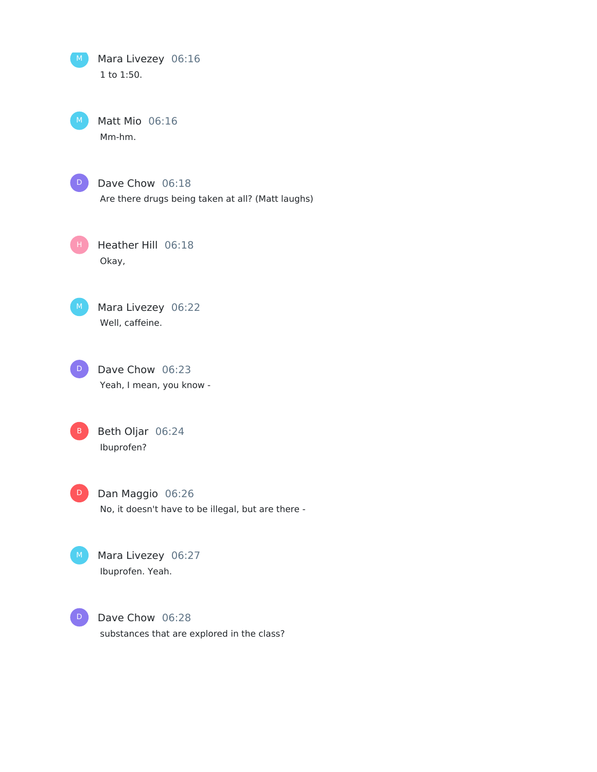Mara Livezey 06:16 1 to 1:50.

Matt Mio 06:16 Mm-hm.



Dave Chow 06:18 Are there drugs being taken at all? (Matt laughs)

Heather Hill 06:18 Okay, H .



Mara Livezey 06:22 Well, caffeine.



Beth Oljar 06:24 Ibuprofen?

Dan Maggio 06:26 No, it doesn't have to be illegal, but are there - D

Mara Livezey 06:27 Ibuprofen. Yeah.

Dave Chow 06:28 substances that are explored in the class? D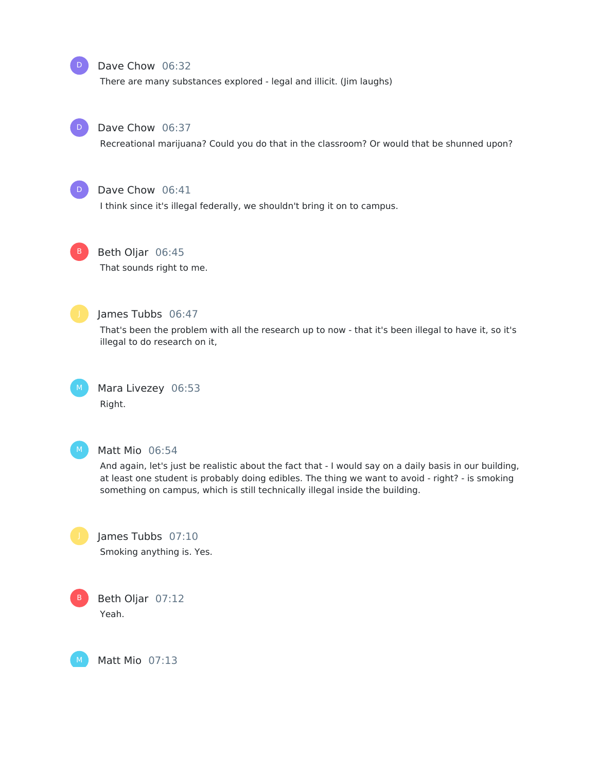#### Dave Chow 06:32

There are many substances explored - legal and illicit. (Jim laughs)



D

#### Dave Chow 06:37

Recreational marijuana? Could you do that in the classroom? Or would that be shunned upon?



## Dave Chow 06:41

I think since it's illegal federally, we shouldn't bring it on to campus.



## Beth Oljar 06:45

That sounds right to me.



## James Tubbs 06:47

That's been the problem with all the research up to now - that it's been illegal to have it, so it's illegal to do research on it,



Mara Livezey 06:53 Right.



#### Matt Mio 06:54

And again, let's just be realistic about the fact that - I would say on a daily basis in our building, at least one student is probably doing edibles. The thing we want to avoid - right? - is smoking something on campus, which is still technically illegal inside the building.



James Tubbs 07:10 Smoking anything is. Yes.



M

Beth Oljar 07:12 Yeah.

Matt Mio 07:13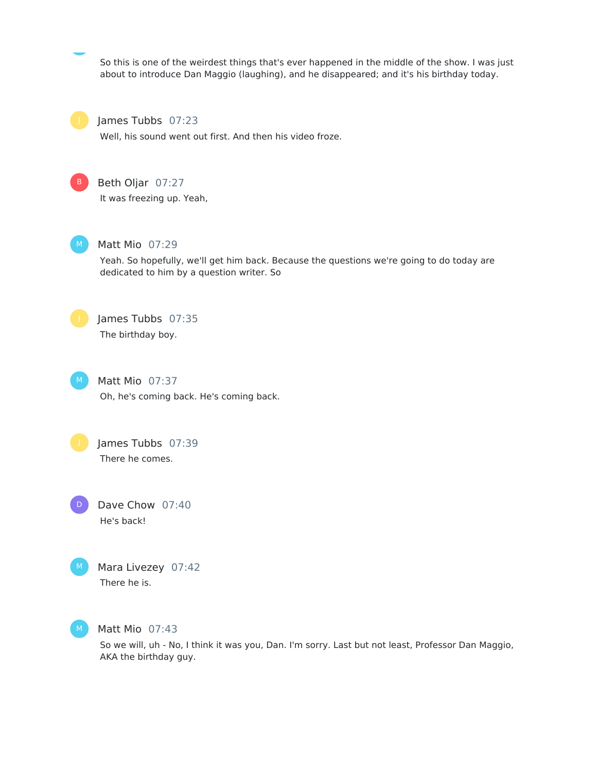So this is one of the weirdest things that's ever happened in the middle of the show. I was just about to introduce Dan Maggio (laughing), and he disappeared; and it's his birthday today.



#### James Tubbs 07:23

Well, his sound went out first. And then his video froze.



## Beth Oljar 07:27

It was freezing up. Yeah,



## Matt Mio 07:29

Yeah. So hopefully, we'll get him back. Because the questions we're going to do today are dedicated to him by a question writer. So



James Tubbs 07:35 The birthday boy.



Matt Mio 07:37 Oh, he's coming back. He's coming back.



There he comes.

Dave Chow 07:40 He's back! D



## Mara Livezey 07:42 There he is.



#### Matt Mio 07:43

So we will, uh - No, I think it was you, Dan. I'm sorry. Last but not least, Professor Dan Maggio, AKA the birthday guy.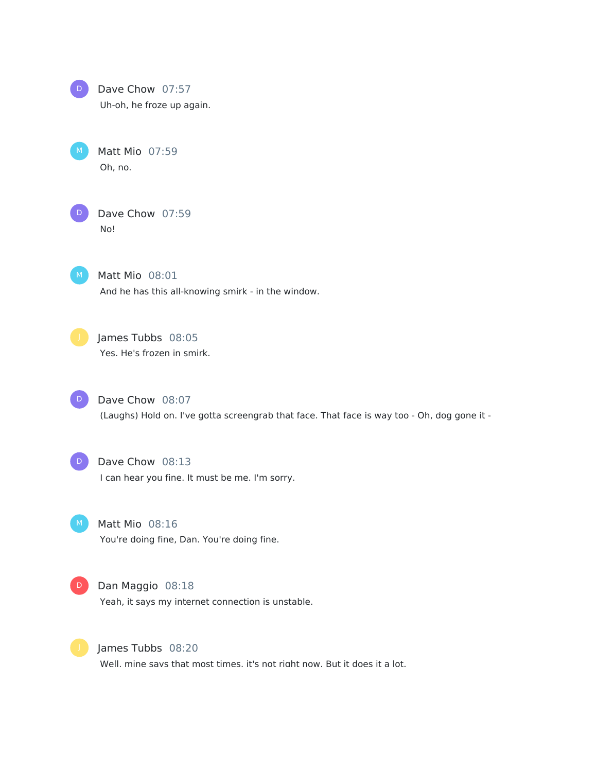

Dave Chow 07:57

Uh-oh, he froze up again.

Matt Mio 07:59 Oh, no.  $M$ )



Dave Chow 07:59 No!



Matt Mio 08:01 And he has this all-knowing smirk - in the window.



# James Tubbs 08:05

Yes. He's frozen in smirk.



(Laughs) Hold on. I've gotta screengrab that face. That face is way too - Oh, dog gone it -

Dave Chow 08:13 I can hear you fine. It must be me. I'm sorry. D<sup>1</sup>

Matt Mio 08:16 You're doing fine, Dan. You're doing fine.  $M$ )



D Dan Maggio 08:18

Yeah, it says my internet connection is unstable.



James Tubbs 08:20

Well, mine savs that most times, it's not right now. But it does it a lot.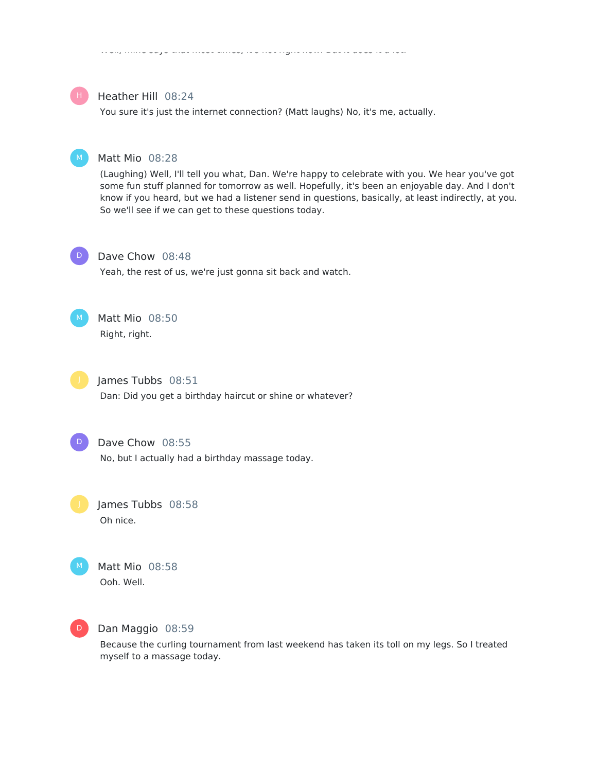#### Well, mine says that most times, it's not right now. But it does it a lot.



#### Heather Hill 08:24

You sure it's just the internet connection? (Matt laughs) No, it's me, actually.



#### Matt Mio 08:28

(Laughing) Well, I'll tell you what, Dan. We're happy to celebrate with you. We hear you've got some fun stuff planned for tomorrow as well. Hopefully, it's been an enjoyable day. And I don't know if you heard, but we had a listener send in questions, basically, at least indirectly, at you. So we'll see if we can get to these questions today.



#### Dave Chow 08:48

Yeah, the rest of us, we're just gonna sit back and watch.



# Matt Mio 08:50

Right, right.



## James Tubbs 08:51

Dan: Did you get a birthday haircut or shine or whatever?



#### Dave Chow 08:55

No, but I actually had a birthday massage today.

James Tubbs 08:58 Oh nice.



## Matt Mio 08:58 Ooh. Well.



#### Dan Maggio 08:59

Because the curling tournament from last weekend has taken its toll on my legs. So I treated myself to a massage today.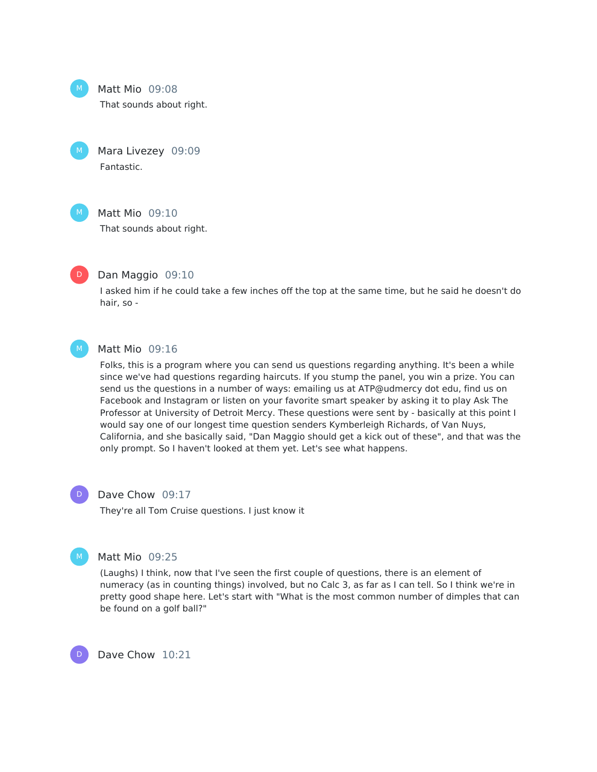

 $M_{\odot}$ 

#### Matt Mio 09:08

That sounds about right.

Mara Livezey 09:09 Fantastic.



#### Matt Mio 09:10

That sounds about right.



#### Dan Maggio 09:10

I asked him if he could take a few inches off the top at the same time, but he said he doesn't do hair, so -



#### Matt Mio 09:16

Folks, this is a program where you can send us questions regarding anything. It's been a while since we've had questions regarding haircuts. If you stump the panel, you win a prize. You can send us the questions in a number of ways: emailing us at ATP@udmercy dot edu, find us on Facebook and Instagram or listen on your favorite smart speaker by asking it to play Ask The Professor at University of Detroit Mercy. These questions were sent by - basically at this point I would say one of our longest time question senders Kymberleigh Richards, of Van Nuys, California, and she basically said, "Dan Maggio should get a kick out of these", and that was the only prompt. So I haven't looked at them yet. Let's see what happens.



#### Dave Chow 09:17

They're all Tom Cruise questions. I just know it



D

#### Matt Mio 09:25

(Laughs) I think, now that I've seen the first couple of questions, there is an element of numeracy (as in counting things) involved, but no Calc 3, as far as I can tell. So I think we're in pretty good shape here. Let's start with "What is the most common number of dimples that can be found on a golf ball?"

Dave Chow 10:21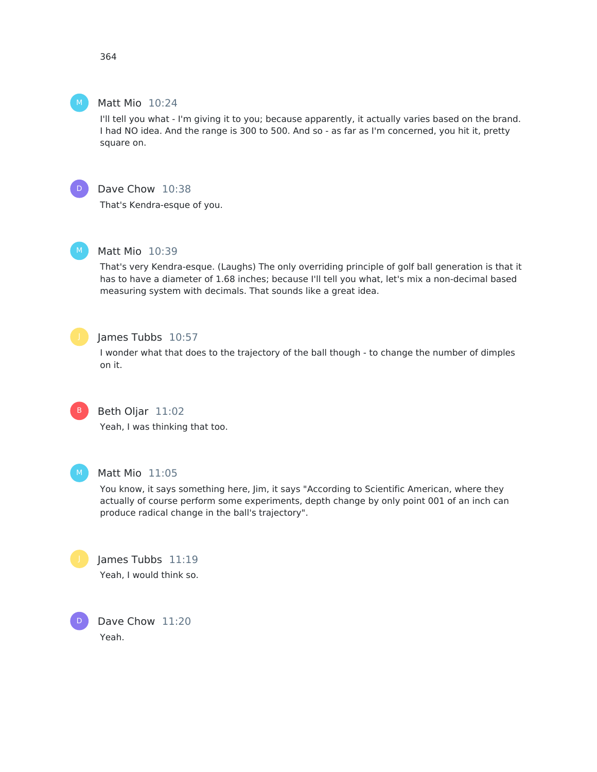364

#### Matt Mio 10:24

I'll tell you what - I'm giving it to you; because apparently, it actually varies based on the brand. I had NO idea. And the range is 300 to 500. And so - as far as I'm concerned, you hit it, pretty square on.



 $M_{\odot}$ 

## Dave Chow 10:38

That's Kendra-esque of you.



## Matt Mio 10:39

That's very Kendra-esque. (Laughs) The only overriding principle of golf ball generation is that it has to have a diameter of 1.68 inches; because I'll tell you what, let's mix a non-decimal based measuring system with decimals. That sounds like a great idea.



#### James Tubbs 10:57

I wonder what that does to the trajectory of the ball though - to change the number of dimples on it.



## Beth Oljar 11:02

Yeah, I was thinking that too.



D

#### Matt Mio 11:05

You know, it says something here, Jim, it says "According to Scientific American, where they actually of course perform some experiments, depth change by only point 001 of an inch can produce radical change in the ball's trajectory".

James Tubbs 11:19 Yeah, I would think so.

Dave Chow 11:20 Yeah.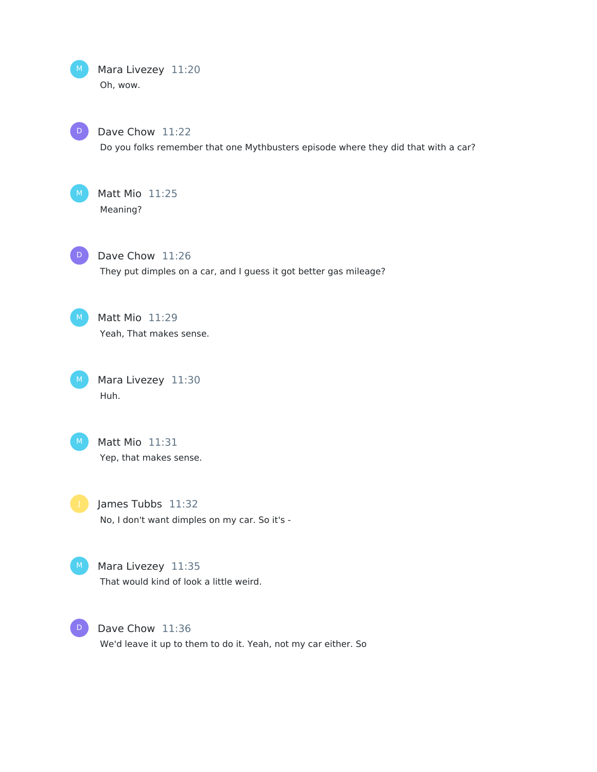M Mara Livezey 11:20 Oh, wow.



Dave Chow 11:22

Do you folks remember that one Mythbusters episode where they did that with a car?



Matt Mio 11:25 Meaning?



Dave Chow 11:26 They put dimples on a car, and I guess it got better gas mileage?



 $M$  Matt Mio  $11:29$ Yeah, That makes sense.

M Mara Livezey 11:30 Huh.



 $M$  Matt Mio  $11:31$ Yep, that makes sense.

James Tubbs 11:32 No, I don't want dimples on my car. So it's -



M Mara Livezey 11:35 That would kind of look a little weird.



D Dave Chow 11:36 We'd leave it up to them to do it. Yeah, not my car either. So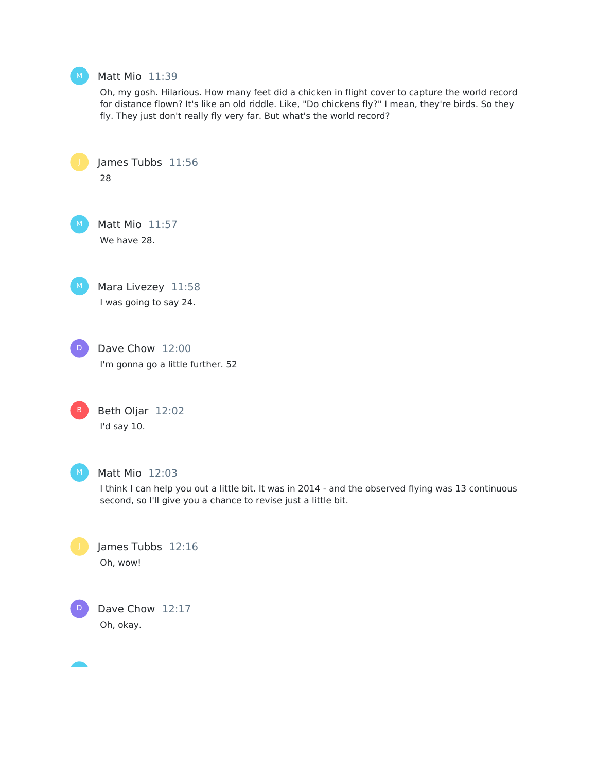

#### Matt Mio 11:39

James Tubbs 11:56

Oh, my gosh. Hilarious. How many feet did a chicken in flight cover to capture the world record for distance flown? It's like an old riddle. Like, "Do chickens fly?" I mean, they're birds. So they fly. They just don't really fly very far. But what's the world record?

28 Matt Mio 11:57 We have 28. Mara Livezey 11:58 I was going to say 24. Dave Chow 12:00 I'm gonna go a little further. 52 Beth Oljar 12:02 I'd say 10. Matt Mio 12:03 I think I can help you out a little bit. It was in 2014 - and the observed flying was 13 continuous second, so I'll give you a chance to revise just a little bit. James Tubbs 12:16 Oh, wow! Dave Chow 12:17 Oh, okay. D B D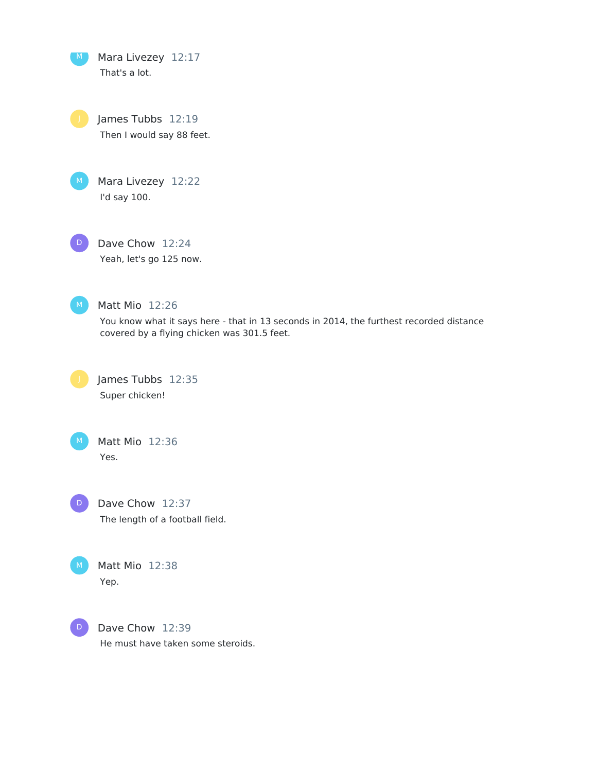Mara Livezey 12:17 That's a lot.  $M$ 

James Tubbs 12:19 Then I would say 88 feet.



Mara Livezey 12:22 I'd say 100.

Dave Chow 12:24  $D$ 

Yeah, let's go 125 now.



Matt Mio 12:26

You know what it says here - that in 13 seconds in 2014, the furthest recorded distance covered by a flying chicken was 301.5 feet.



James Tubbs 12:35 Super chicken!



Matt Mio 12:36 Yes.



Dave Chow 12:37 The length of a football field.



Matt Mio 12:38 Yep.



Dave Chow 12:39 He must have taken some steroids.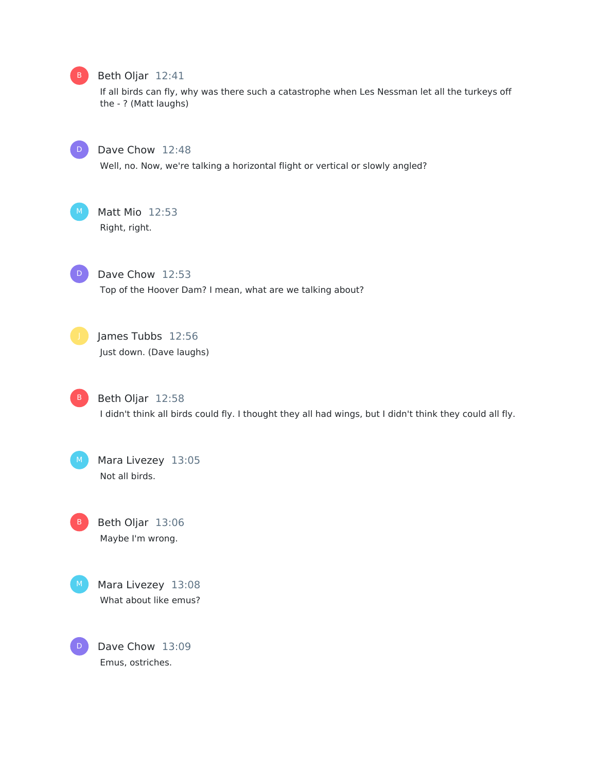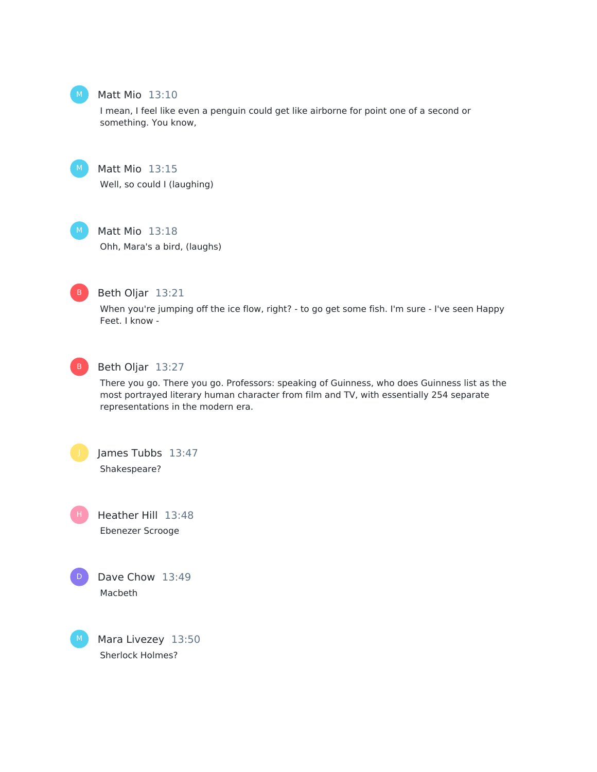

#### Matt Mio 13:10

I mean, I feel like even a penguin could get like airborne for point one of a second or something. You know,



Matt Mio 13:15 Well, so could I (laughing)

Matt Mio 13:18

Ohh, Mara's a bird, (laughs)



Beth Oljar 13:21

When you're jumping off the ice flow, right? - to go get some fish. I'm sure - I've seen Happy Feet. I know -



#### Beth Oljar 13:27

There you go. There you go. Professors: speaking of Guinness, who does Guinness list as the most portrayed literary human character from film and TV, with essentially 254 separate representations in the modern era.

James Tubbs 13:47 Shakespeare?

Heather Hill 13:48 Ebenezer Scrooge H.



M

Mara Livezey 13:50 Sherlock Holmes?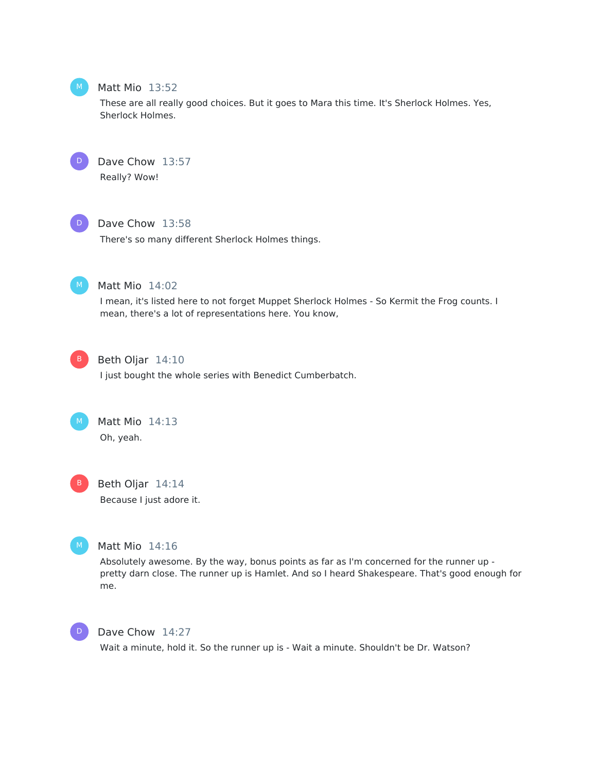

#### Matt Mio 13:52

These are all really good choices. But it goes to Mara this time. It's Sherlock Holmes. Yes, Sherlock Holmes.



Dave Chow 13:57 Really? Wow!



#### Dave Chow 13:58

There's so many different Sherlock Holmes things.



## Matt Mio 14:02

I mean, it's listed here to not forget Muppet Sherlock Holmes - So Kermit the Frog counts. I mean, there's a lot of representations here. You know,



## Beth Oljar 14:10

I just bought the whole series with Benedict Cumberbatch.



Matt Mio 14:13 Oh, yeah.



## Beth Oljar 14:14 Because I just adore it.



## Matt Mio 14:16

Absolutely awesome. By the way, bonus points as far as I'm concerned for the runner up pretty darn close. The runner up is Hamlet. And so I heard Shakespeare. That's good enough for me.



#### Dave Chow 14:27

Wait a minute, hold it. So the runner up is - Wait a minute. Shouldn't be Dr. Watson?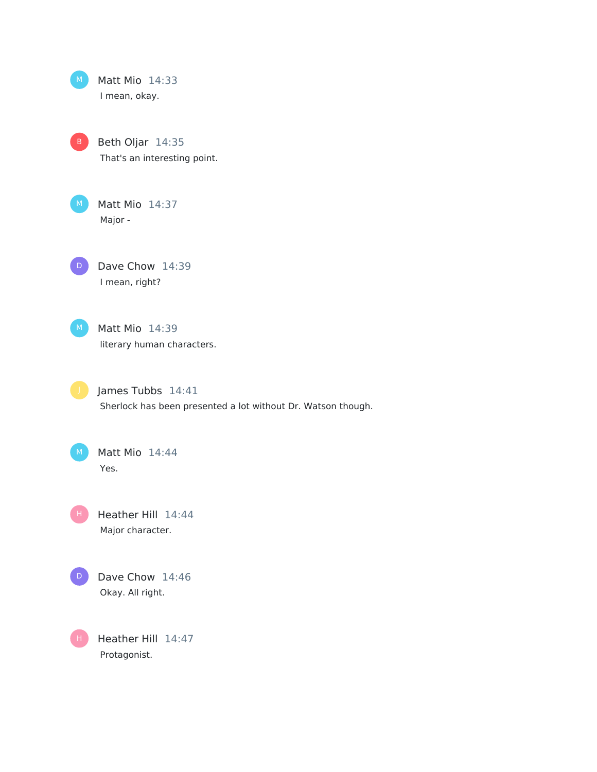

Protagonist.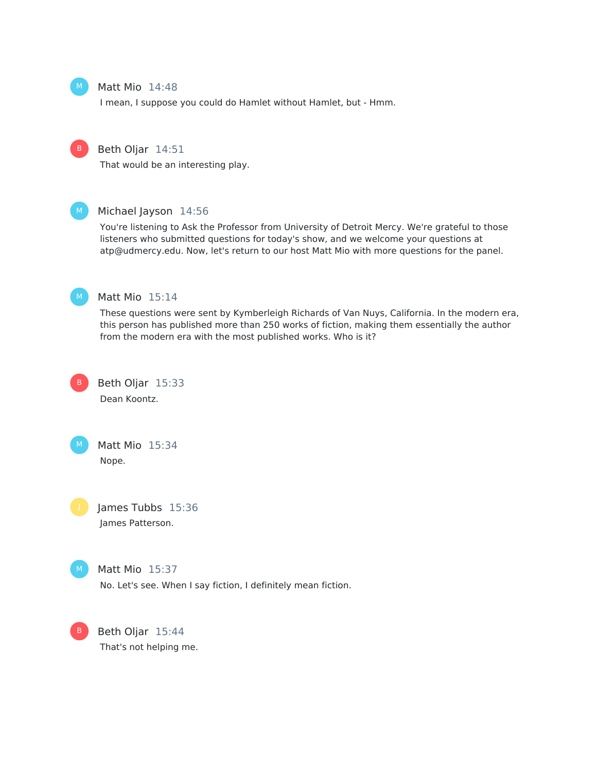

#### Matt Mio 14:48

I mean, I suppose you could do Hamlet without Hamlet, but - Hmm.



#### Beth Oljar 14:51

That would be an interesting play.



#### Michael Jayson 14:56

You're listening to Ask the Professor from University of Detroit Mercy. We're grateful to those listeners who submitted questions for today's show, and we welcome your questions at atp@udmercy.edu. Now, let's return to our host Matt Mio with more questions for the panel.



#### Matt Mio 15:14

These questions were sent by Kymberleigh Richards of Van Nuys, California. In the modern era, this person has published more than 250 works of fiction, making them essentially the author from the modern era with the most published works. Who is it?



Beth Oljar 15:33 Dean Koontz.



Matt Mio 15:34 Nope.

James Tubbs 15:36 James Patterson.



Matt Mio 15:37

No. Let's see. When I say fiction, I definitely mean fiction.

B Beth Oljar 15:44 That's not helping me.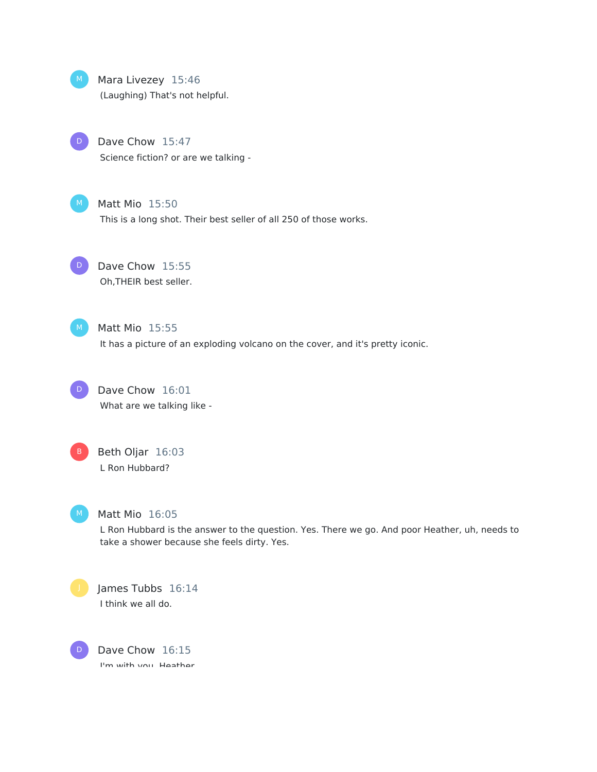

### Mara Livezey 15:46

(Laughing) That's not helpful.

Dave Chow 15:47  $\mathsf D$ 

Science fiction? or are we talking -

## Matt Mio 15:50

This is a long shot. Their best seller of all 250 of those works.

Dave Chow 15:55 Oh,THEIR best seller. D

## Matt Mio 15:55

It has a picture of an exploding volcano on the cover, and it's pretty iconic.

Dave Chow 16:01 D

What are we talking like -

Beth Oljar 16:03 L Ron Hubbard?



## Matt Mio 16:05

L Ron Hubbard is the answer to the question. Yes. There we go. And poor Heather, uh, needs to take a shower because she feels dirty. Yes.



James Tubbs 16:14 I think we all do.

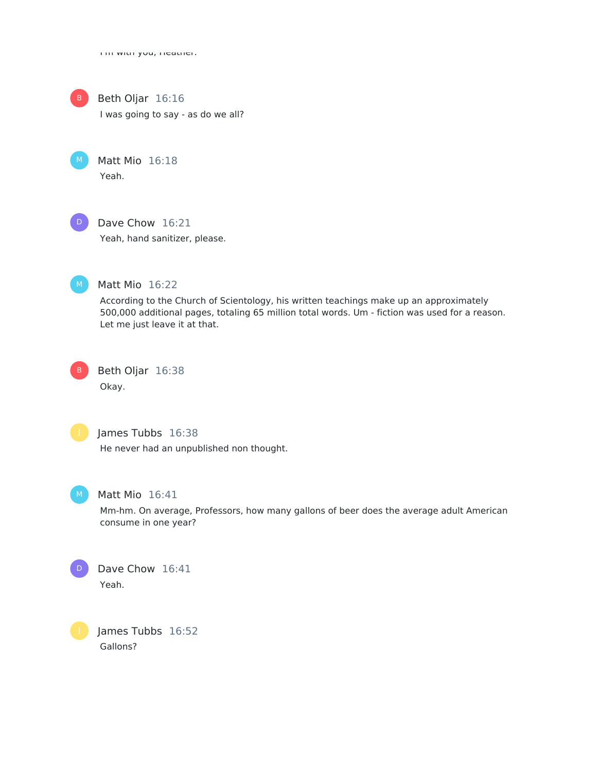I'm with you, Heather.



Beth Oljar 16:16

I was going to say - as do we all?

Matt Mio 16:18 Yeah.



## Dave Chow 16:21

Yeah, hand sanitizer, please.



## Matt Mio 16:22

According to the Church of Scientology, his written teachings make up an approximately 500,000 additional pages, totaling 65 million total words. Um - fiction was used for a reason. Let me just leave it at that.

Beth Oljar 16:38 Okay. B



## James Tubbs 16:38

He never had an unpublished non thought.



## Matt Mio 16:41

Mm-hm. On average, Professors, how many gallons of beer does the average adult American consume in one year?



James Tubbs 16:52 Gallons?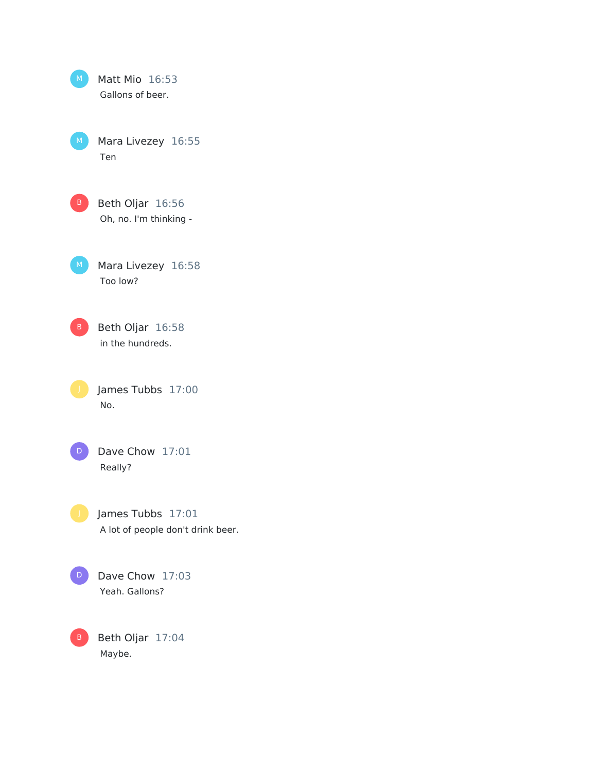| M           | Matt Mio 16:53<br>Gallons of beer.                     |
|-------------|--------------------------------------------------------|
| $M_{\odot}$ | Mara Livezey 16:55<br>Ten                              |
| B.          | Beth Oljar 16:56<br>Oh, no. I'm thinking -             |
| M.          | Mara Livezey 16:58<br>Too low?                         |
| B.          | Beth Oljar 16:58<br>in the hundreds.                   |
| J           | James Tubbs 17:00<br>No.                               |
| D           | Dave Chow 17:01<br>Really?                             |
|             | James Tubbs 17:01<br>A lot of people don't drink beer. |
| D           | Dave Chow 17:03<br>Yeah. Gallons?                      |
| В           | Beth Oljar 17:04                                       |

Maybe.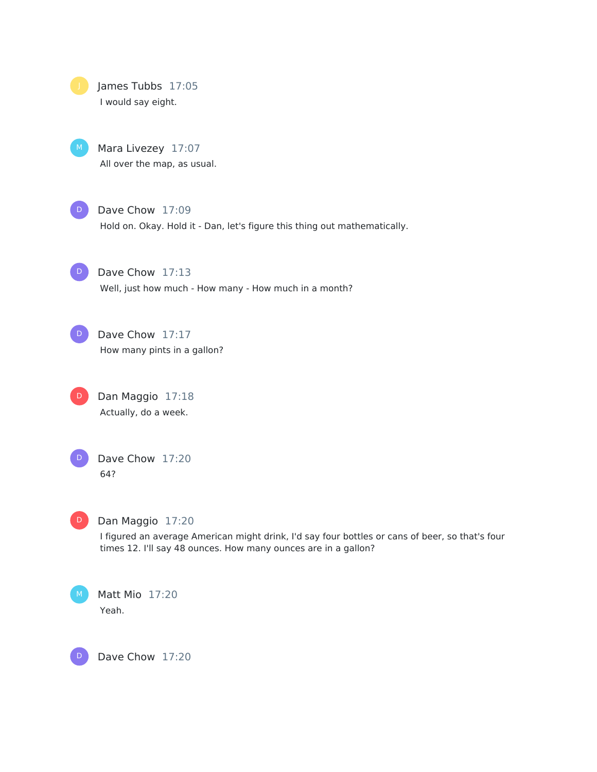



Mara Livezey 17:07 All over the map, as usual.



## Dave Chow 17:09

Hold on. Okay. Hold it - Dan, let's figure this thing out mathematically.

D)

Dave Chow 17:13 Well, just how much - How many - How much in a month?

Dave Chow 17:17 How many pints in a gallon? D

Dan Maggio 17:18 Actually, do a week. D



Dave Chow 17:20 64?



D

## Dan Maggio 17:20

I figured an average American might drink, I'd say four bottles or cans of beer, so that's four times 12. I'll say 48 ounces. How many ounces are in a gallon?

Matt Mio 17:20 Yeah.

Dave Chow 17:20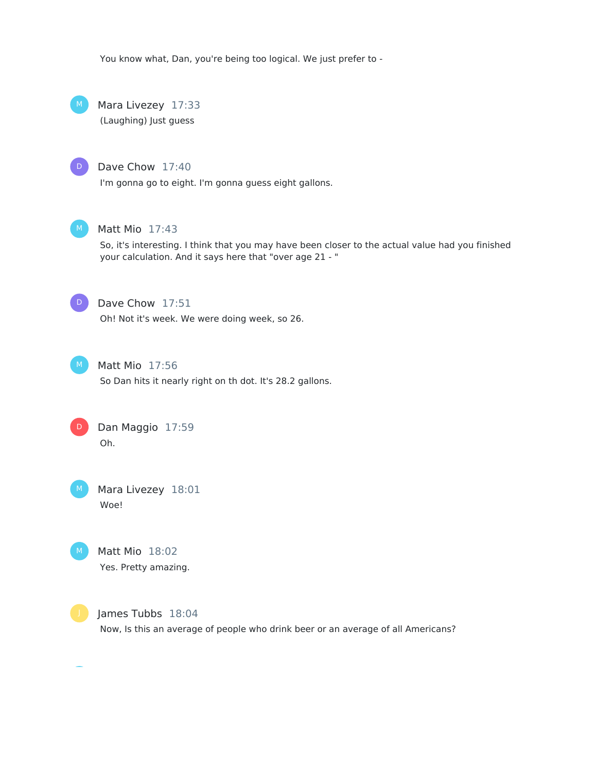You know what, Dan, you're being too logical. We just prefer to -

Mara Livezey 17:33 (Laughing) Just guess  $M_{\odot}$ 

#### Dave Chow 17:40

I'm gonna go to eight. I'm gonna guess eight gallons.



D

#### Matt Mio 17:43

So, it's interesting. I think that you may have been closer to the actual value had you finished your calculation. And it says here that "over age 21 - "



## Dave Chow 17:51

Oh! Not it's week. We were doing week, so 26.



## Matt Mio 17:56

So Dan hits it nearly right on th dot. It's 28.2 gallons.



Mara Livezey 18:01 Woe!



Matt Mio 18:02 Yes. Pretty amazing.



James Tubbs 18:04

Now, Is this an average of people who drink beer or an average of all Americans?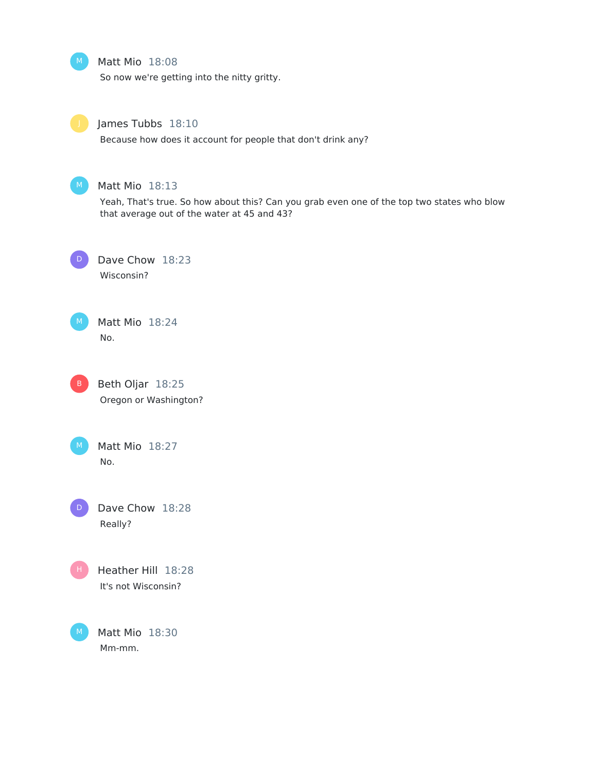Matt Mio 18:08

So now we're getting into the nitty gritty.



## James Tubbs 18:10

Because how does it account for people that don't drink any?



## Matt Mio 18:13

Yeah, That's true. So how about this? Can you grab even one of the top two states who blow that average out of the water at 45 and 43?



Dave Chow 18:23 Wisconsin?







Matt Mio 18:27 No.

Dave Chow 18:28 Really?  $D$ 



Heather Hill 18:28 It's not Wisconsin?

Matt Mio 18:30 Mm-mm. M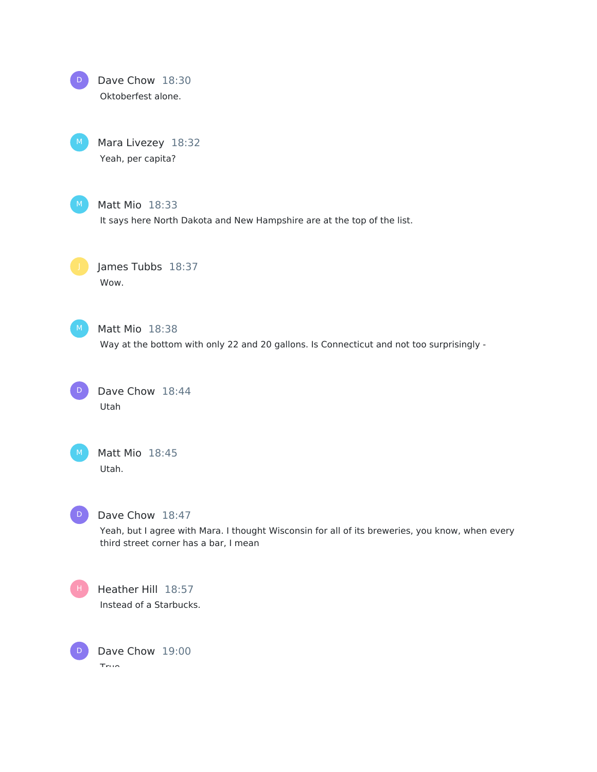

Mara Livezey 18:32 Yeah, per capita?



Matt Mio 18:33

It says here North Dakota and New Hampshire are at the top of the list.

James Tubbs 18:37 Wow.



Matt Mio 18:38

Way at the bottom with only 22 and 20 gallons. Is Connecticut and not too surprisingly -

Dave Chow 18:44 Utah D



Matt Mio 18:45 Utah.



#### Dave Chow 18:47

Yeah, but I agree with Mara. I thought Wisconsin for all of its breweries, you know, when every third street corner has a bar, I mean



Heather Hill 18:57 Instead of a Starbucks.

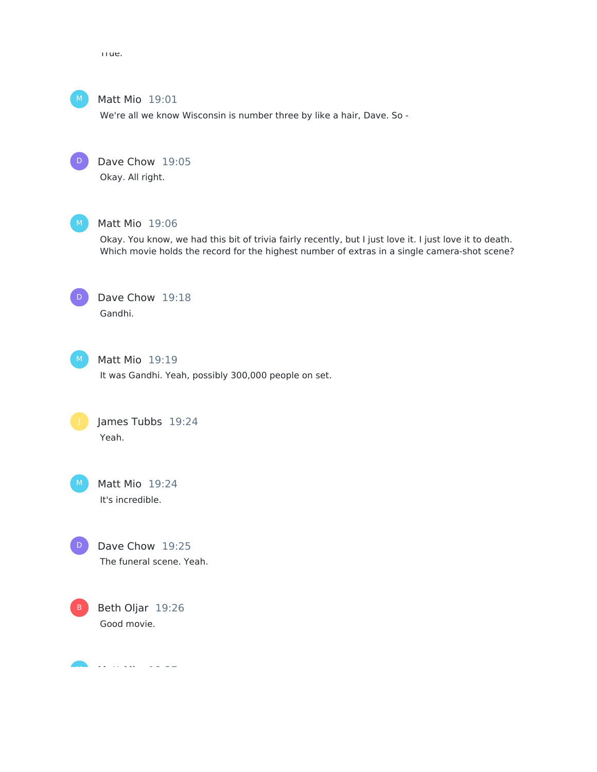True.



Matt Mio 19:01

We're all we know Wisconsin is number three by like a hair, Dave. So -



Dave Chow 19:05

Okay. All right.



#### Matt Mio 19:06

Okay. You know, we had this bit of trivia fairly recently, but I just love it. I just love it to death. Which movie holds the record for the highest number of extras in a single camera-shot scene?



## Dave Chow 19:18 Gandhi.



Matt Mio 19:19 It was Gandhi. Yeah, possibly 300,000 people on set.



Matt Mio 19:24 It's incredible.



Dave Chow 19:25 The funeral scene. Yeah.



Matt Mio 19:27 M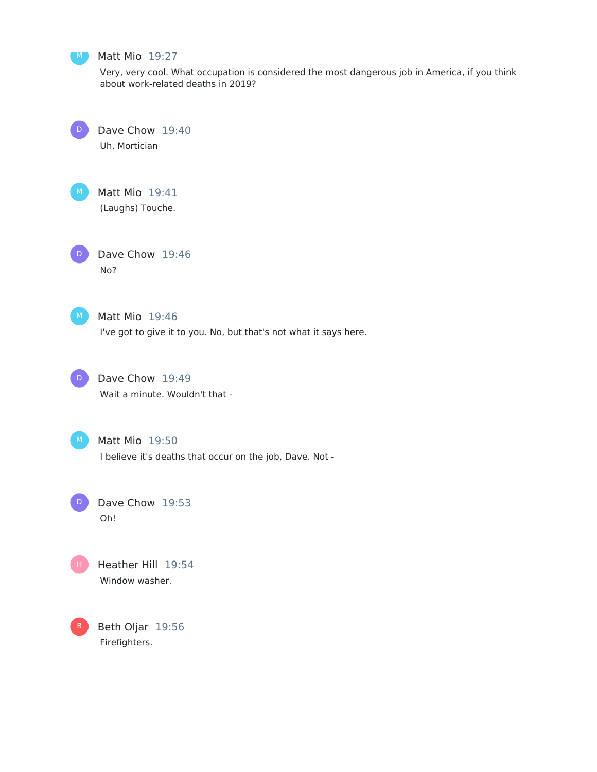

#### M Matt Mio 19:27

Very, very cool. What occupation is considered the most dangerous job in America, if you think about work-related deaths in 2019?



Dave Chow 19:40

Uh, Mortician



D

Matt Mio 19:41

(Laughs) Touche.

Dave Chow 19:46 No?



Matt Mio 19:46 I've got to give it to you. No, but that's not what it says here.



Dave Chow 19:49 Wait a minute. Wouldn't that -



Matt Mio 19:50

I believe it's deaths that occur on the job, Dave. Not -

Dave Chow 19:53 Oh!  $\Box$ 



B Beth Oljar 19:56 Firefighters.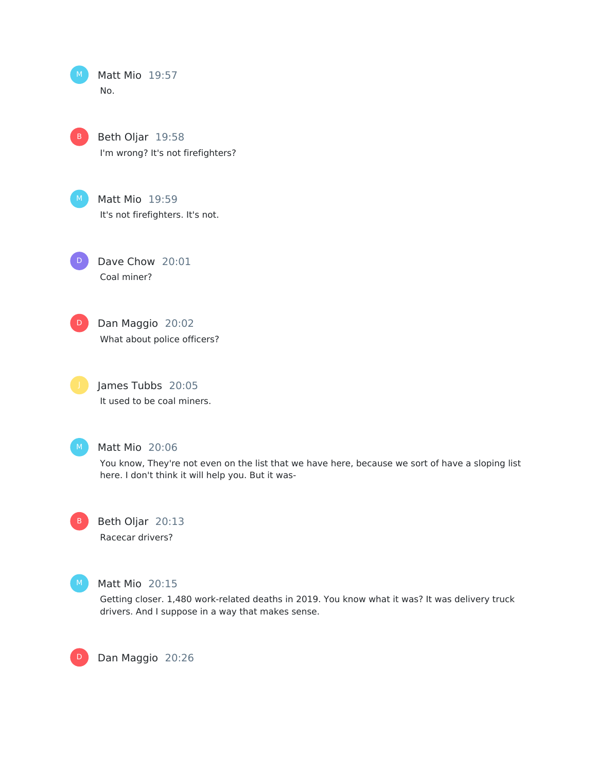| м | Matt Mio 19:57 |  |
|---|----------------|--|
|   | No.            |  |

Beth Oljar 19:58 I'm wrong? It's not firefighters? B

Matt Mio 19:59 It's not firefighters. It's not.

Dave Chow 20:01 Coal miner? D



Dan Maggio 20:02 What about police officers?

James Tubbs 20:05 It used to be coal miners.



## Matt Mio 20:06

You know, They're not even on the list that we have here, because we sort of have a sloping list here. I don't think it will help you. But it was-

Beth Oljar 20:13 Racecar drivers? B



D

#### Matt Mio 20:15

Getting closer. 1,480 work-related deaths in 2019. You know what it was? It was delivery truck drivers. And I suppose in a way that makes sense.

Dan Maggio 20:26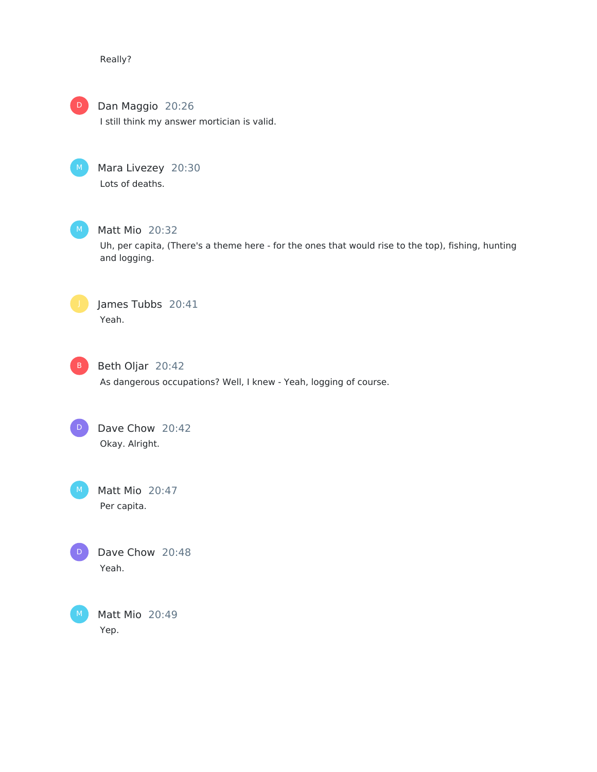Really?



## Dan Maggio 20:26

I still think my answer mortician is valid.



## Mara Livezey 20:30 Lots of deaths.



## Matt Mio 20:32

Uh, per capita, (There's a theme here - for the ones that would rise to the top), fishing, hunting and logging.



James Tubbs 20:41 Yeah.



## Beth Oljar 20:42

As dangerous occupations? Well, I knew - Yeah, logging of course.

Dave Chow 20:42 Okay. Alright.  $\Box$ 

Matt Mio 20:47 Per capita.



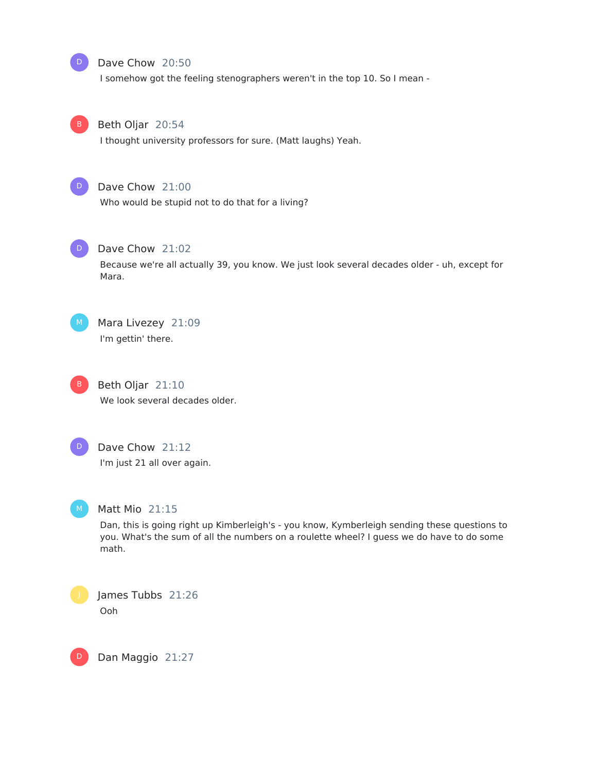#### Dave Chow 20:50

I somehow got the feeling stenographers weren't in the top 10. So I mean -



D

## Beth Oljar 20:54

I thought university professors for sure. (Matt laughs) Yeah.



## Dave Chow 21:00

Who would be stupid not to do that for a living?



#### Dave Chow 21:02

Because we're all actually 39, you know. We just look several decades older - uh, except for Mara.



Mara Livezey 21:09 I'm gettin' there.



Beth Oljar 21:10 We look several decades older.



## Dave Chow 21:12 I'm just 21 all over again.



D

## Matt Mio 21:15

Dan, this is going right up Kimberleigh's - you know, Kymberleigh sending these questions to you. What's the sum of all the numbers on a roulette wheel? I guess we do have to do some math.

James Tubbs 21:26 Ooh

Dan Maggio 21:27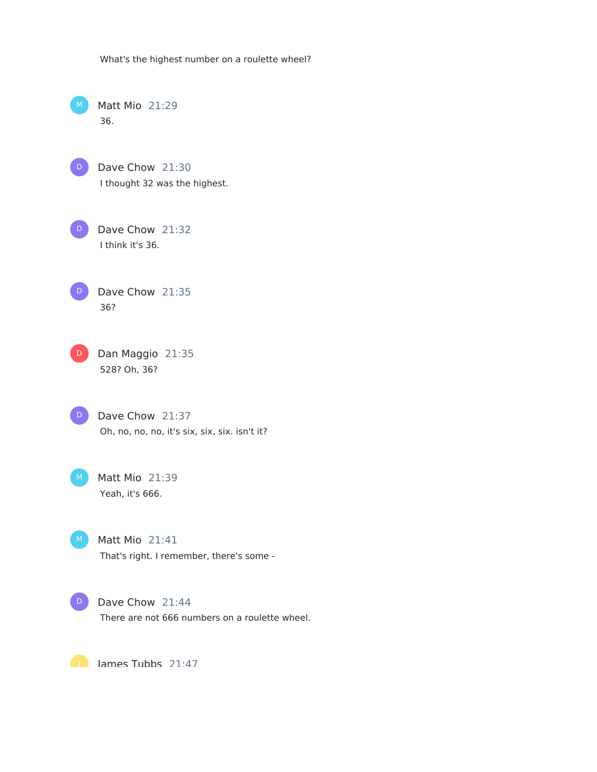What's the highest number on a roulette wheel?

Matt Mio 21:29 36.

D

Dave Chow 21:30 I thought 32 was the highest.

Dave Chow 21:32 I think it's 36. D

Dave Chow 21:35 36? D

Dan Maggio 21:35 528? Oh, 36?  $D$ 

Dave Chow 21:37 Oh, no, no, no, it's six, six, six. isn't it? D

Matt Mio 21:39 Yeah, it's 666.

Matt Mio 21:41 That's right. I remember, there's some -

D

M

 $M$ 

Dave Chow 21:44

There are not 666 numbers on a roulette wheel.

**D** lames Tubbs 21:47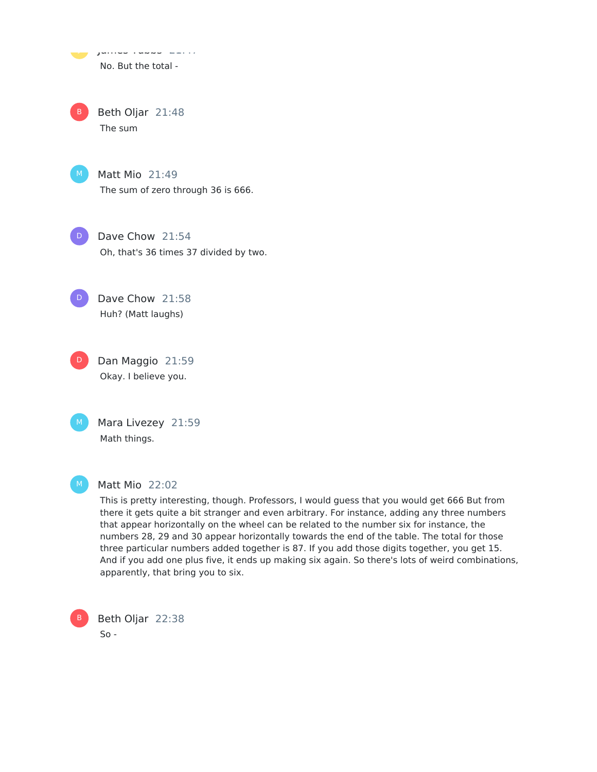, junico rubbs 21:47 No. But the total -

Beth Oljar 21:48 The sum B

Matt Mio 21:49 The sum of zero through 36 is 666.

Dave Chow 21:54 Oh, that's 36 times 37 divided by two.  $\Box$ 

Dave Chow 21:58 Huh? (Matt laughs)

Dan Maggio 21:59 Okay. I believe you. D

Mara Livezey 21:59 Math things. M

B

D

#### Matt Mio 22:02

This is pretty interesting, though. Professors, I would guess that you would get 666 But from there it gets quite a bit stranger and even arbitrary. For instance, adding any three numbers that appear horizontally on the wheel can be related to the number six for instance, the numbers 28, 29 and 30 appear horizontally towards the end of the table. The total for those three particular numbers added together is 87. If you add those digits together, you get 15. And if you add one plus five, it ends up making six again. So there's lots of weird combinations, apparently, that bring you to six.

Beth Oljar 22:38  $So -$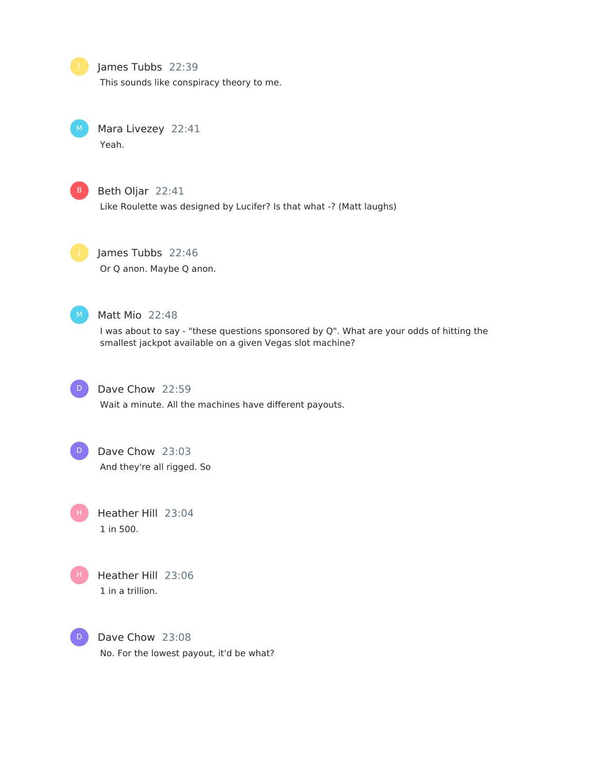James Tubbs 22:39

This sounds like conspiracy theory to me.

Mara Livezey 22:41 Yeah.



## Beth Oljar 22:41

Like Roulette was designed by Lucifer? Is that what -? (Matt laughs)

James Tubbs 22:46 Or Q anon. Maybe Q anon.



## Matt Mio 22:48

I was about to say - "these questions sponsored by Q". What are your odds of hitting the smallest jackpot available on a given Vegas slot machine?



## Dave Chow 22:59

Wait a minute. All the machines have different payouts.



# Dave Chow 23:03

And they're all rigged. So

Heather Hill 23:04 1 in 500. H



Heather Hill 23:06 1 in a trillion.

Dave Chow 23:08 No. For the lowest payout, it'd be what? D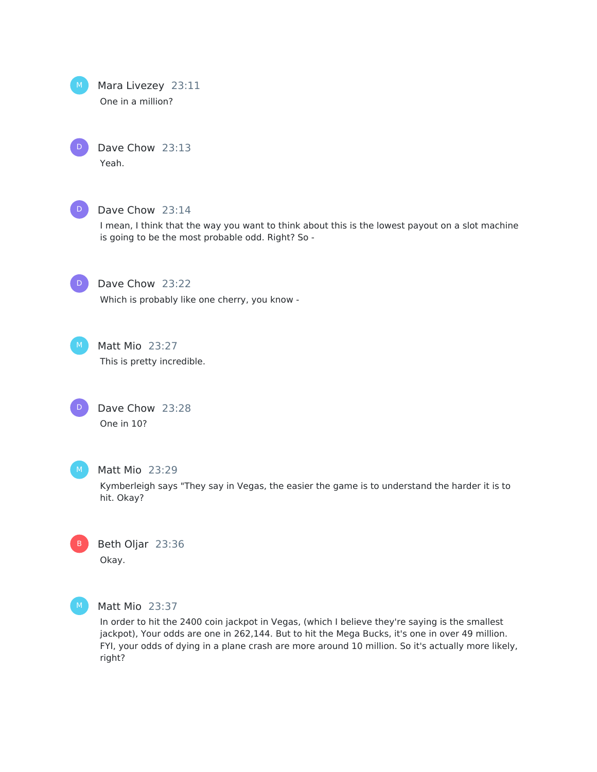

D

Mara Livezey 23:11 One in a million?

Dave Chow 23:13 Yeah.



#### Dave Chow 23:14

I mean, I think that the way you want to think about this is the lowest payout on a slot machine is going to be the most probable odd. Right? So -



## Dave Chow 23:22

Which is probably like one cherry, you know -



## Matt Mio 23:27

This is pretty incredible.

| D | Dave Chow 23:28 |  |
|---|-----------------|--|
|   | One in 10?      |  |



#### Matt Mio 23:29

Kymberleigh says "They say in Vegas, the easier the game is to understand the harder it is to hit. Okay?





## Matt Mio 23:37

In order to hit the 2400 coin jackpot in Vegas, (which I believe they're saying is the smallest jackpot), Your odds are one in 262,144. But to hit the Mega Bucks, it's one in over 49 million. FYI, your odds of dying in a plane crash are more around 10 million. So it's actually more likely, right?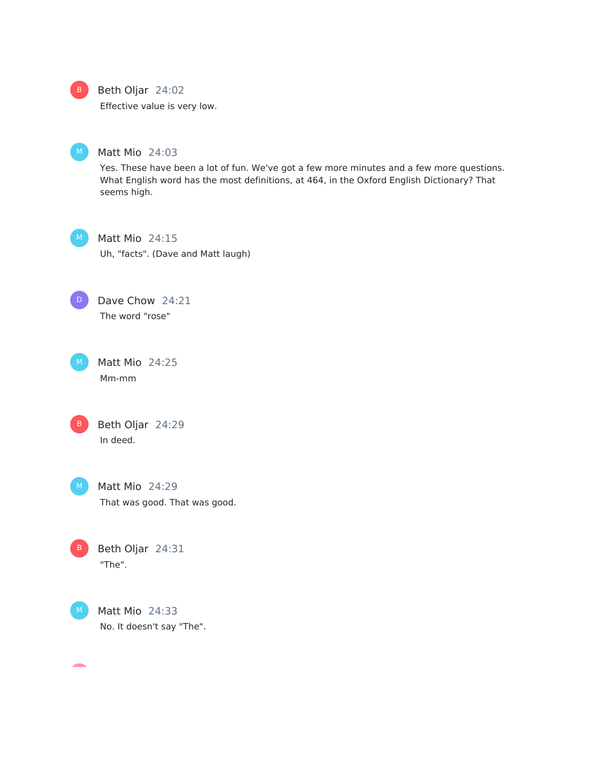

#### B Beth Oljar 24:02

Effective value is very low.



## Matt Mio 24:03

Yes. These have been a lot of fun. We've got a few more minutes and a few more questions. What English word has the most definitions, at 464, in the Oxford English Dictionary? That seems high.



## Matt Mio 24:15

Uh, "facts". (Dave and Matt laugh)

Dave Chow 24:21 The word "rose" D

Matt Mio 24:25 Mm-mm

Beth Oljar 24:29 In deed.

 $M$ )

Matt Mio 24:29 That was good. That was good.

Beth Oljar 24:31 "The". B



 $\overline{\phantom{a}}$ 

 $M$  Matt Mio 24:33 No. It doesn't say "The".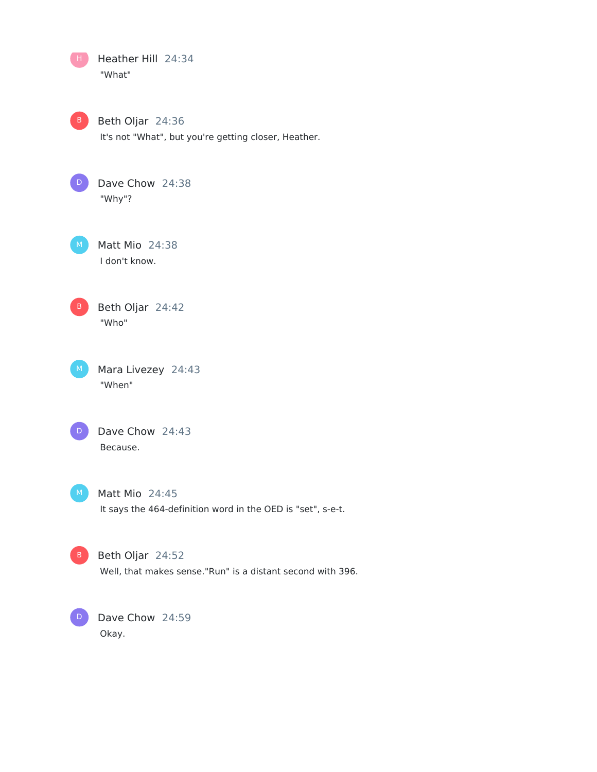Heather Hill 24:34 "What" Beth Oljar 24:36 It's not "What", but you're getting closer, Heather. Dave Chow 24:38 "Why"? Matt Mio 24:38 I don't know. Beth Oljar 24:42 "Who" Mara Livezey 24:43 "When" Dave Chow 24:43 Because. Matt Mio 24:45 It says the 464-definition word in the OED is "set", s-e-t. Beth Oljar 24:52 Well, that makes sense."Run" is a distant second with 396.  $\Box$ D B D

Dave Chow 24:59 Okay.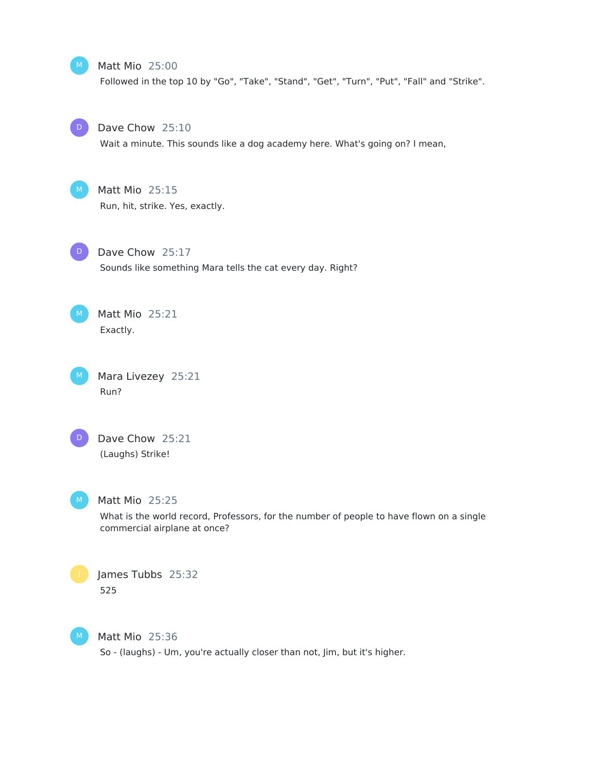#### Matt Mio 25:00

Followed in the top 10 by "Go", "Take", "Stand", "Get", "Turn", "Put", "Fall" and "Strike".



## Dave Chow 25:10

Wait a minute. This sounds like a dog academy here. What's going on? I mean,



## Matt Mio 25:15

Run, hit, strike. Yes, exactly.



Dave Chow 25:17 Sounds like something Mara tells the cat every day. Right?



Matt Mio 25:21 Exactly.

Mara Livezey 25:21 Run?



Dave Chow 25:21 (Laughs) Strike!

## Matt Mio 25:25

What is the world record, Professors, for the number of people to have flown on a single commercial airplane at once?





Matt Mio 25:36 So - (laughs) - Um, you're actually closer than not, Jim, but it's higher.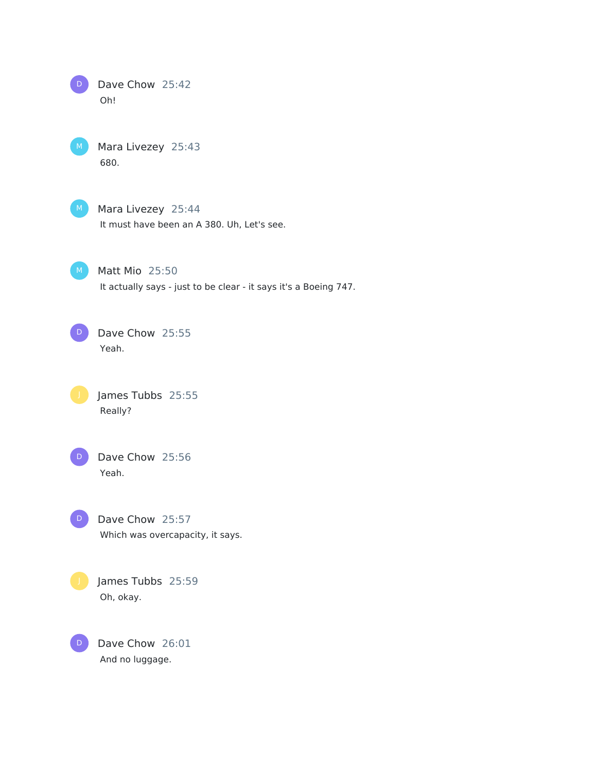Dave Chow 25:42 Oh! D

Mara Livezey 25:43 680.

Mara Livezey 25:44

It must have been an A 380. Uh, Let's see.

Matt Mio 25:50

It actually says - just to be clear - it says it's a Boeing 747.

Dave Chow 25:55 Yeah. D

> James Tubbs 25:55 Really?

D

Dave Chow 25:56 Yeah.

Dave Chow 25:57 Which was overcapacity, it says. D

James Tubbs 25:59 Oh, okay.

Dave Chow 26:01 And no luggage.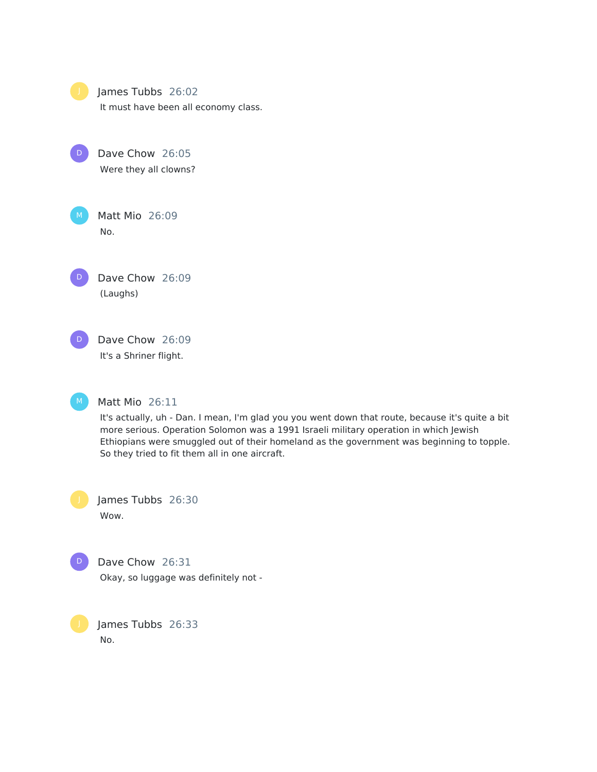

| ٠<br>P. | i |
|---------|---|
|         |   |

D Dave Chow 26:05 Were they all clowns?



Matt Mio 26:09 No.

Dave Chow 26:09 (Laughs) D





#### Matt Mio 26:11

It's actually, uh - Dan. I mean, I'm glad you you went down that route, because it's quite a bit more serious. Operation Solomon was a 1991 Israeli military operation in which Jewish Ethiopians were smuggled out of their homeland as the government was beginning to topple. So they tried to fit them all in one aircraft.

James Tubbs 26:30 Wow.



Dave Chow 26:31

Okay, so luggage was definitely not -

James Tubbs 26:33 No.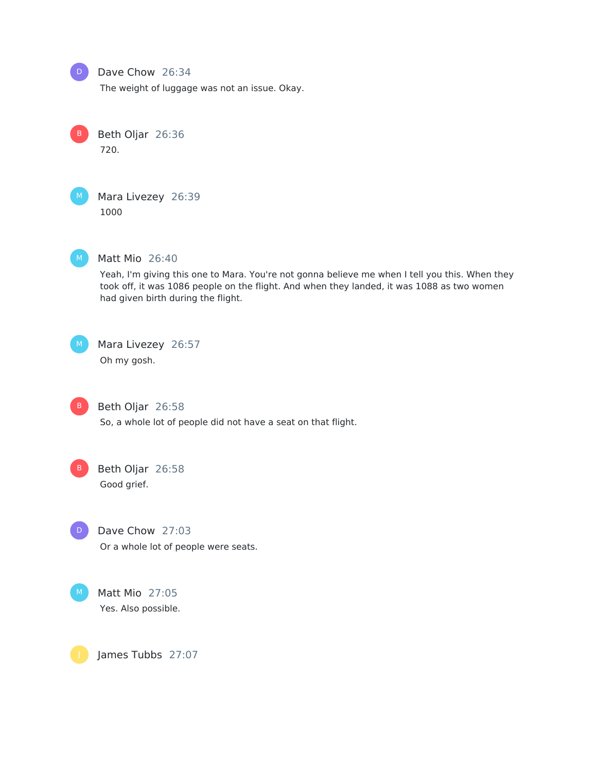

## Dave Chow 26:34

The weight of luggage was not an issue. Okay.

Beth Oljar 26:36 720. B

Mara Livezey 26:39 1000



#### Matt Mio 26:40

Yeah, I'm giving this one to Mara. You're not gonna believe me when I tell you this. When they took off, it was 1086 people on the flight. And when they landed, it was 1088 as two women had given birth during the flight.

 $M$ 

Mara Livezey 26:57

Oh my gosh.

Beth Oljar 26:58

So, a whole lot of people did not have a seat on that flight.

Beth Oljar 26:58 Good grief.



Dave Chow 27:03

Or a whole lot of people were seats.



James Tubbs 27:07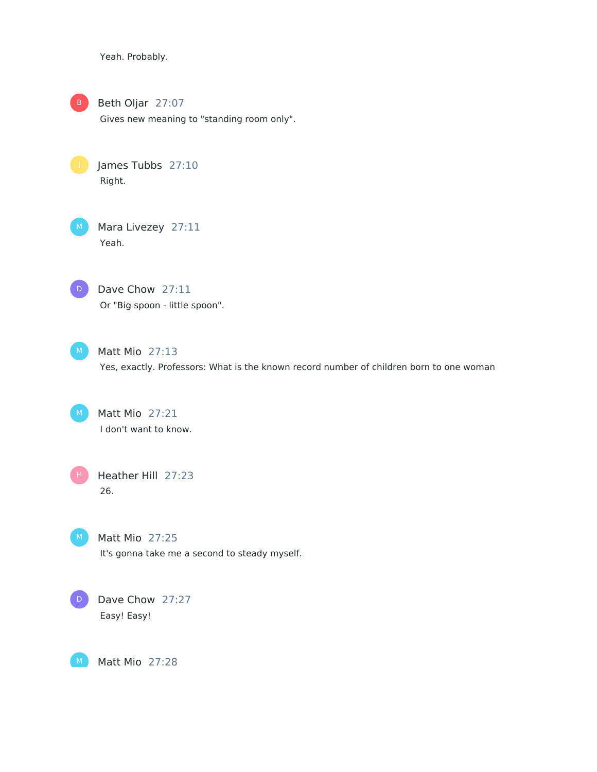Yeah. Probably.

Beth Oljar 27:07

Gives new meaning to "standing room only".

James Tubbs 27:10 Right.

Mara Livezey 27:11 Yeah.



Dave Chow 27:11 Or "Big spoon - little spoon".



Matt Mio 27:13 Yes, exactly. Professors: What is the known record number of children born to one woman

Matt Mio 27:21 I don't want to know.

H

Heather Hill 27:23 26.



M

Matt Mio 27:25 It's gonna take me a second to steady myself.



Matt Mio 27:28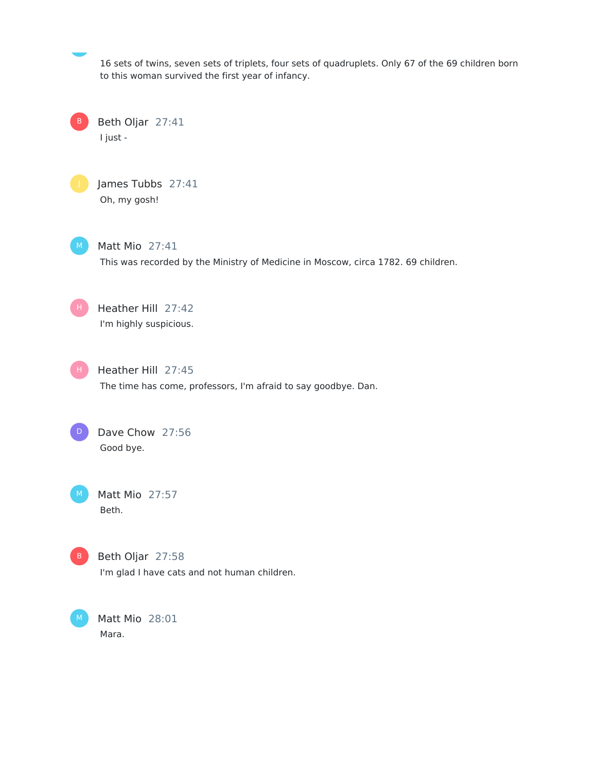16 sets of twins, seven sets of triplets, four sets of quadruplets. Only 67 of the 69 children born to this woman survived the first year of infancy.

Beth Oljar 27:41 I just - B



James Tubbs 27:41 Oh, my gosh!



Matt Mio 27:41

This was recorded by the Ministry of Medicine in Moscow, circa 1782. 69 children.

Heather Hill 27:42 I'm highly suspicious. H.

Heather Hill 27:45 H

The time has come, professors, I'm afraid to say goodbye. Dan.

Dave Chow 27:56 Good bye. D

Matt Mio 27:57 Beth.

Beth Oljar 27:58 B

I'm glad I have cats and not human children.

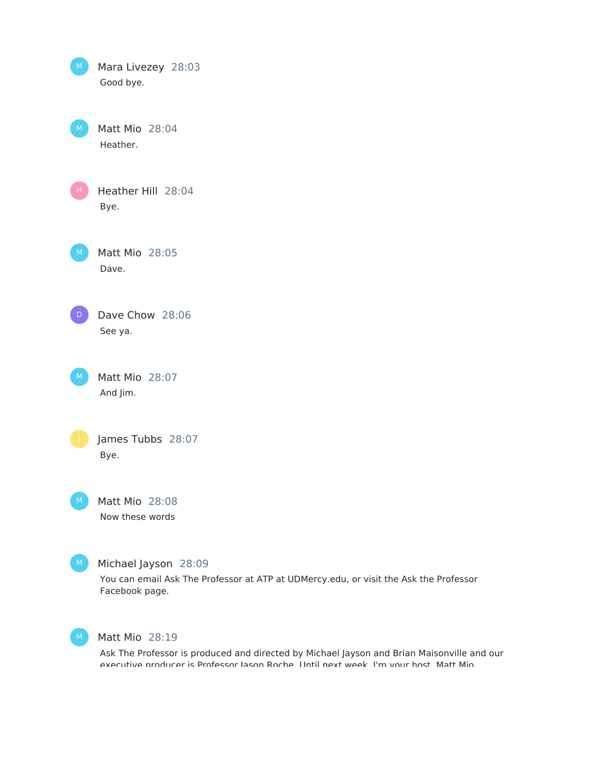| M. | Mara Livezey 28:03<br>Good bye.                                                                                                 |
|----|---------------------------------------------------------------------------------------------------------------------------------|
| M. | Matt Mio 28:04<br>Heather.                                                                                                      |
|    | Heather Hill 28:04<br>Bye.                                                                                                      |
| M  | Matt Mio 28:05<br>Dave.                                                                                                         |
| D  | Dave Chow 28:06<br>See ya.                                                                                                      |
| M. | Matt Mio 28:07<br>And Jim.                                                                                                      |
|    | James Tubbs 28:07<br>Bye.                                                                                                       |
| M  | Matt Mio 28:08<br>Now these words                                                                                               |
| M. | Michael Jayson 28:09<br>You can email Ask The Professor at ATP at UDMercy.edu, or visit the Ask the Professor<br>Facebook page. |



Matt Mio 28:19

Ask The Professor is produced and directed by Michael Jayson and Brian Maisonville and our executive producer is Professor Jason Roche. Until next week, I'm your host, Matt Mio.